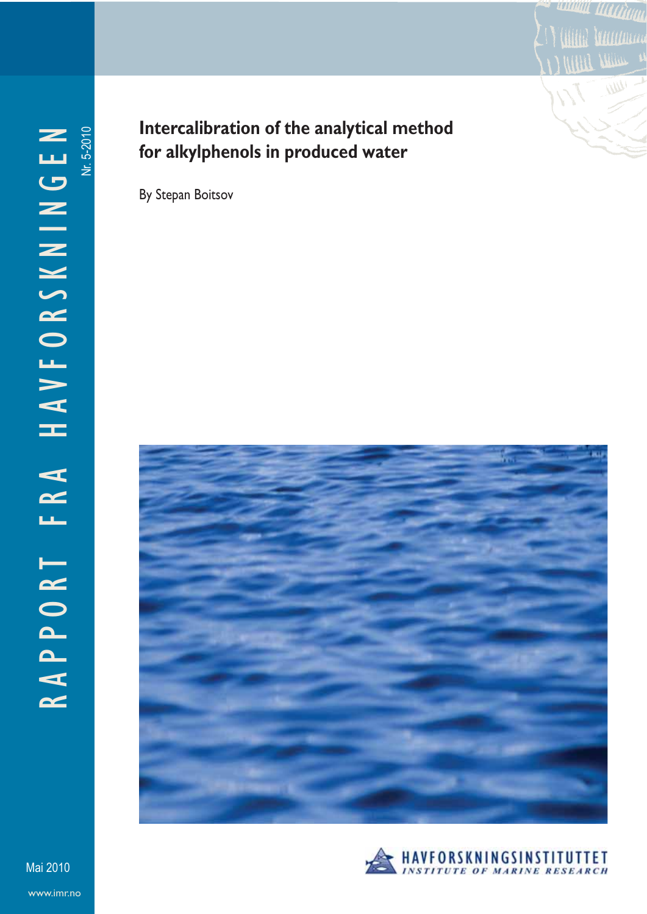

# **Intercalibration of the analytical method for alkylphenols in produced water**

By Stepan Boitsov





**WWW**WW

Munica

www.imr.no Mai 2010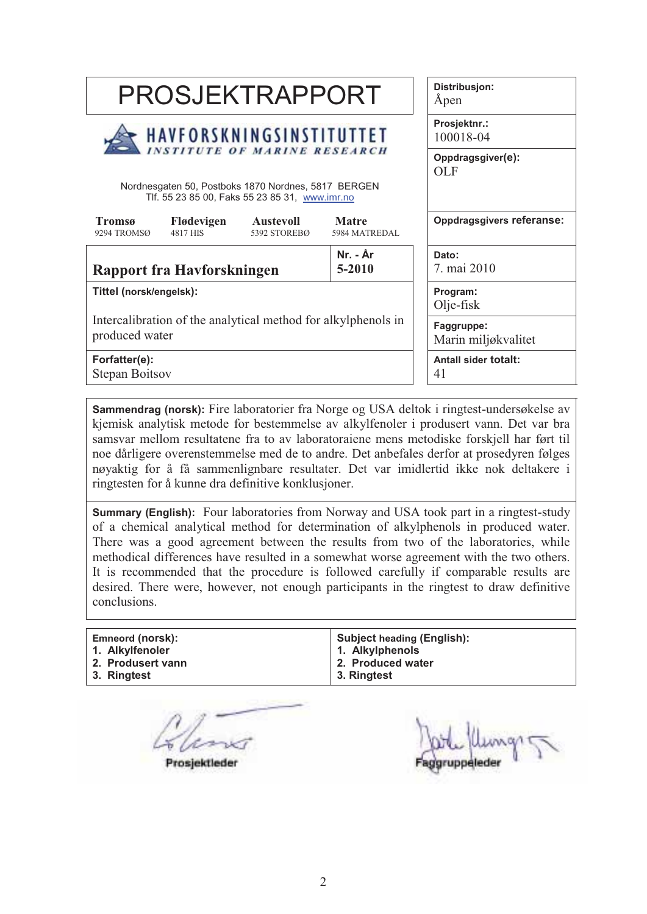| PROSJEKTRAPPORT                                                                                       |                                                                                      |  |  |  | Distribusjon:<br>Åpen             |  |  |
|-------------------------------------------------------------------------------------------------------|--------------------------------------------------------------------------------------|--|--|--|-----------------------------------|--|--|
| HAVFORSKNINGSINSTITUTTET                                                                              |                                                                                      |  |  |  | Prosjektnr.:<br>100018-04         |  |  |
| Nordnesgaten 50, Postboks 1870 Nordnes, 5817 BERGEN<br>Tlf. 55 23 85 00, Faks 55 23 85 31, www.imr.no |                                                                                      |  |  |  | Oppdragsgiver(e):<br><b>OLF</b>   |  |  |
| Tromsø<br>9294 TROMSØ                                                                                 | Flødevigen<br><b>Matre</b><br>Austevoll<br>4817 HIS<br>5392 STOREBØ<br>5984 MATREDAL |  |  |  | Oppdragsgivers referanse:         |  |  |
| Nr. - År<br>5-2010<br>Rapport fra Havforskningen                                                      |                                                                                      |  |  |  | Dato:<br>7. mai 2010              |  |  |
| Tittel (norsk/engelsk):                                                                               |                                                                                      |  |  |  | Program:<br>Olje-fisk             |  |  |
| Intercalibration of the analytical method for alkylphenols in<br>produced water                       |                                                                                      |  |  |  | Faggruppe:<br>Marin miljøkvalitet |  |  |
| Forfatter(e):<br><b>Stepan Boitsov</b>                                                                |                                                                                      |  |  |  | Antall sider totalt:<br>41        |  |  |

**Sammendrag (norsk):** Fire laboratorier fra Norge og USA deltok i ringtest-undersøkelse av kjemisk analytisk metode for bestemmelse av alkylfenoler i produsert vann. Det var bra samsvar mellom resultatene fra to av laboratoraiene mens metodiske forskjell har ført til noe dårligere overenstemmelse med de to andre. Det anbefales derfor at prosedyren følges nøyaktig for å få sammenlignbare resultater. Det var imidlertid ikke nok deltakere i ringtesten for å kunne dra definitive konklusjoner.

**Summary (English):** Four laboratories from Norway and USA took part in a ringtest-study of a chemical analytical method for determination of alkylphenols in produced water. There was a good agreement between the results from two of the laboratories, while methodical differences have resulted in a somewhat worse agreement with the two others. It is recommended that the procedure is followed carefully if comparable results are desired. There were, however, not enough participants in the ringtest to draw definitive conclusions.

| Emneord (norsk):  | <b>Subject heading (English):</b> |
|-------------------|-----------------------------------|
| 1. Alkylfenoler   | 1. Alkylphenols                   |
| 2. Produsert vann | 2. Produced water                 |
| 3. Ringtest       | 3. Ringtest                       |

Prosjektleder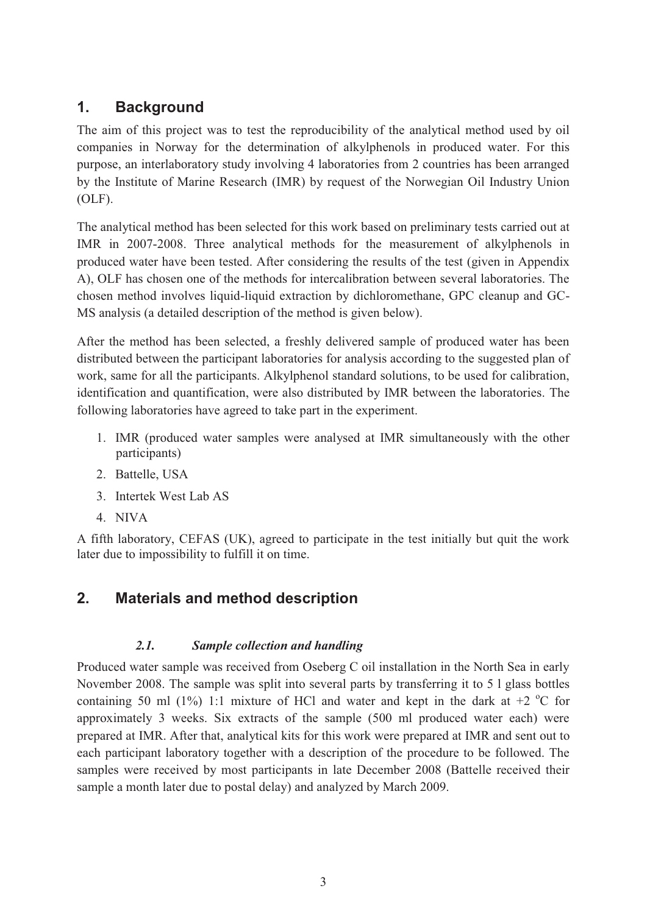# **1. Background**

The aim of this project was to test the reproducibility of the analytical method used by oil companies in Norway for the determination of alkylphenols in produced water. For this purpose, an interlaboratory study involving 4 laboratories from 2 countries has been arranged by the Institute of Marine Research (IMR) by request of the Norwegian Oil Industry Union (OLF).

The analytical method has been selected for this work based on preliminary tests carried out at IMR in 2007-2008. Three analytical methods for the measurement of alkylphenols in produced water have been tested. After considering the results of the test (given in Appendix A), OLF has chosen one of the methods for intercalibration between several laboratories. The chosen method involves liquid-liquid extraction by dichloromethane, GPC cleanup and GC-MS analysis (a detailed description of the method is given below).

After the method has been selected, a freshly delivered sample of produced water has been distributed between the participant laboratories for analysis according to the suggested plan of work, same for all the participants. Alkylphenol standard solutions, to be used for calibration, identification and quantification, were also distributed by IMR between the laboratories. The following laboratories have agreed to take part in the experiment.

- 1. IMR (produced water samples were analysed at IMR simultaneously with the other participants)
- 2. Battelle, USA
- 3. Intertek West Lab AS
- 4. NIVA

A fifth laboratory, CEFAS (UK), agreed to participate in the test initially but quit the work later due to impossibility to fulfill it on time.

# **2. Materials and method description**

#### *2.1. Sample collection and handling*

Produced water sample was received from Oseberg C oil installation in the North Sea in early November 2008. The sample was split into several parts by transferring it to 5 l glass bottles containing 50 ml (1%) 1:1 mixture of HCl and water and kept in the dark at  $+2$  °C for approximately 3 weeks. Six extracts of the sample (500 ml produced water each) were prepared at IMR. After that, analytical kits for this work were prepared at IMR and sent out to each participant laboratory together with a description of the procedure to be followed. The samples were received by most participants in late December 2008 (Battelle received their sample a month later due to postal delay) and analyzed by March 2009.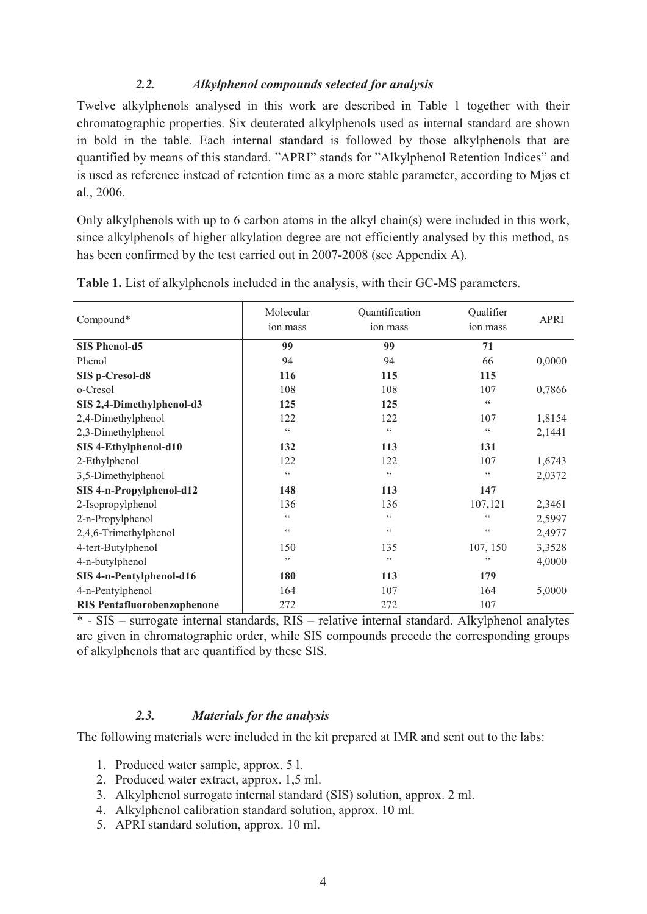#### *2.2. Alkylphenol compounds selected for analysis*

Twelve alkylphenols analysed in this work are described in Table 1 together with their chromatographic properties. Six deuterated alkylphenols used as internal standard are shown in bold in the table. Each internal standard is followed by those alkylphenols that are quantified by means of this standard. "APRI" stands for "Alkylphenol Retention Indices" and is used as reference instead of retention time as a more stable parameter, according to Mjøs et al., 2006.

Only alkylphenols with up to 6 carbon atoms in the alkyl chain(s) were included in this work, since alkylphenols of higher alkylation degree are not efficiently analysed by this method, as has been confirmed by the test carried out in 2007-2008 (see Appendix A).

| Compound*                          | Molecular<br>ion mass | Quantification<br>ion mass | Qualifier<br>ion mass  | <b>APRI</b> |
|------------------------------------|-----------------------|----------------------------|------------------------|-------------|
| <b>SIS Phenol-d5</b>               | 99                    | 99                         | 71                     |             |
| Phenol                             | 94                    | 94                         | 66                     | 0,0000      |
| SIS p-Cresol-d8                    | 116                   | 115                        | 115                    |             |
| o-Cresol                           | 108                   | 108                        | 107                    | 0,7866      |
| SIS 2,4-Dimethylphenol-d3          | 125                   | 125                        | $\textsf{G}\textsf{G}$ |             |
| 2,4-Dimethylphenol                 | 122                   | 122                        | 107                    | 1,8154      |
| 2,3-Dimethylphenol                 | $\zeta$ $\zeta$       | $\zeta$ $\zeta$            | $\zeta$ $\zeta$        | 2,1441      |
| SIS 4-Ethylphenol-d10              | 132                   | 113                        | 131                    |             |
| 2-Ethylphenol                      | 122                   | 122                        | 107                    | 1,6743      |
| 3,5-Dimethylphenol                 | $\zeta$ $\zeta$       | $\zeta$ $\zeta$            | $\zeta\,\zeta$         | 2,0372      |
| SIS 4-n-Propylphenol-d12           | 148                   | 113                        | 147                    |             |
| 2-Isopropylphenol                  | 136                   | 136                        | 107,121                | 2,3461      |
| 2-n-Propylphenol                   | $\zeta$ $\zeta$       | $\zeta$ $\zeta$            | 66                     | 2,5997      |
| 2,4,6-Trimethylphenol              | $\zeta$ $\zeta$       | $\zeta$ $\zeta$            | $\zeta\,\zeta$         | 2,4977      |
| 4-tert-Butylphenol                 | 150                   | 135                        | 107, 150               | 3,3528      |
| 4-n-butylphenol                    | ,,                    | ,,                         | ,,                     | 4,0000      |
| SIS 4-n-Pentylphenol-d16           | 180                   | 113                        | 179                    |             |
| 4-n-Pentylphenol                   | 164                   | 107                        | 164                    | 5,0000      |
| <b>RIS Pentafluorobenzophenone</b> | 272                   | 272                        | 107                    |             |

**Table 1.** List of alkylphenols included in the analysis, with their GC-MS parameters.

\* - SIS – surrogate internal standards, RIS – relative internal standard. Alkylphenol analytes are given in chromatographic order, while SIS compounds precede the corresponding groups of alkylphenols that are quantified by these SIS.

#### *2.3. Materials for the analysis*

The following materials were included in the kit prepared at IMR and sent out to the labs:

- 1. Produced water sample, approx. 5 l.
- 2. Produced water extract, approx. 1,5 ml.
- 3. Alkylphenol surrogate internal standard (SIS) solution, approx. 2 ml.
- 4. Alkylphenol calibration standard solution, approx. 10 ml.
- 5. APRI standard solution, approx. 10 ml.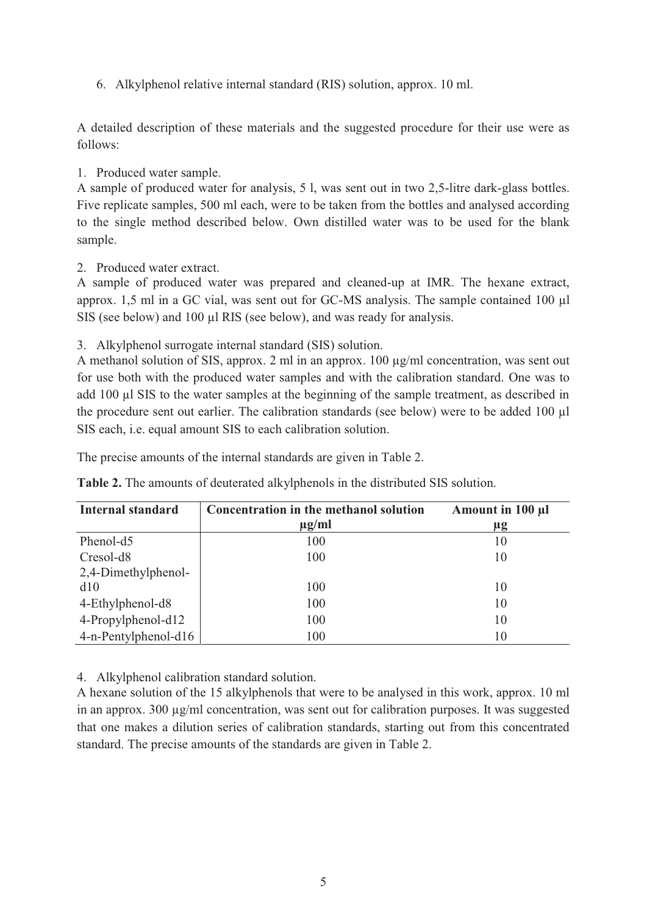6. Alkylphenol relative internal standard (RIS) solution, approx. 10 ml.

A detailed description of these materials and the suggested procedure for their use were as follows:

#### 1. Produced water sample.

A sample of produced water for analysis, 5 l, was sent out in two 2,5-litre dark-glass bottles. Five replicate samples, 500 ml each, were to be taken from the bottles and analysed according to the single method described below. Own distilled water was to be used for the blank sample.

2. Produced water extract.

A sample of produced water was prepared and cleaned-up at IMR. The hexane extract, approx. 1,5 ml in a GC vial, was sent out for GC-MS analysis. The sample contained 100 µl SIS (see below) and 100 µl RIS (see below), and was ready for analysis.

3. Alkylphenol surrogate internal standard (SIS) solution.

A methanol solution of SIS, approx. 2 ml in an approx. 100  $\mu$ g/ml concentration, was sent out for use both with the produced water samples and with the calibration standard. One was to add 100 µl SIS to the water samples at the beginning of the sample treatment, as described in the procedure sent out earlier. The calibration standards (see below) were to be added 100 ul SIS each, i.e. equal amount SIS to each calibration solution.

The precise amounts of the internal standards are given in Table 2.

| <b>Internal standard</b> | Concentration in the methanol solution | Amount in 100 µl |
|--------------------------|----------------------------------------|------------------|
|                          | $\mu$ g/ml                             | $\mu$ g          |
| Phenol-d5                | 100                                    | 10               |
| Cresol-d <sub>8</sub>    | 100                                    | 10               |
| 2,4-Dimethylphenol-      |                                        |                  |
| d10                      | 100                                    | 10               |
| 4-Ethylphenol-d8         | 100                                    | 10               |
| 4-Propylphenol-d12       | 100                                    | 10               |
| 4-n-Pentylphenol-d16     | 100                                    | 10               |

**Table 2.** The amounts of deuterated alkylphenols in the distributed SIS solution.

4. Alkylphenol calibration standard solution.

A hexane solution of the 15 alkylphenols that were to be analysed in this work, approx. 10 ml in an approx. 300 µg/ml concentration, was sent out for calibration purposes. It was suggested that one makes a dilution series of calibration standards, starting out from this concentrated standard. The precise amounts of the standards are given in Table 2.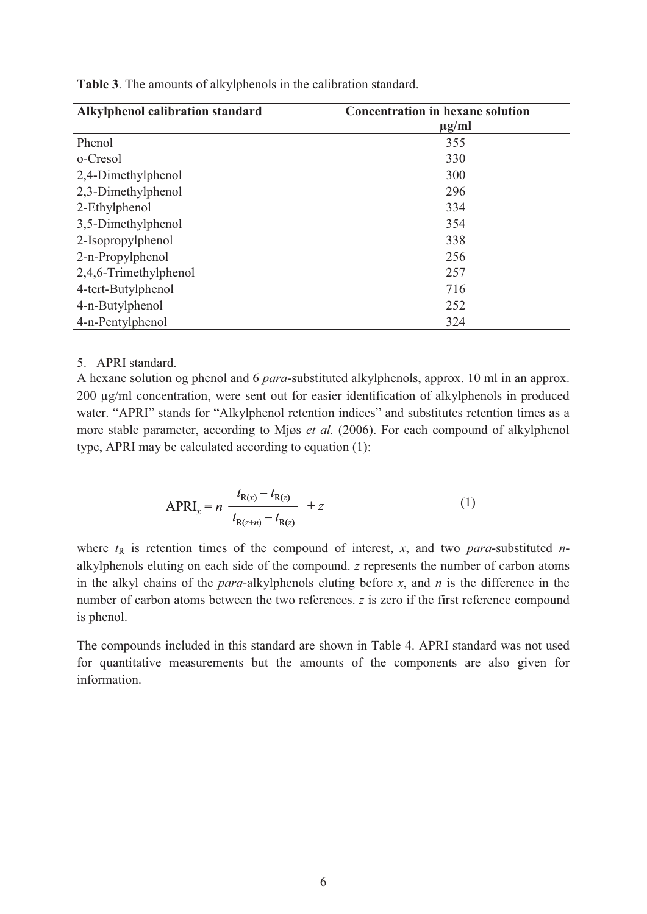| Alkylphenol calibration standard | <b>Concentration in hexane solution</b> |
|----------------------------------|-----------------------------------------|
|                                  | $\mu$ g/ml                              |
| Phenol                           | 355                                     |
| o-Cresol                         | 330                                     |
| 2,4-Dimethylphenol               | 300                                     |
| 2,3-Dimethylphenol               | 296                                     |
| 2-Ethylphenol                    | 334                                     |
| 3,5-Dimethylphenol               | 354                                     |
| 2-Isopropylphenol                | 338                                     |
| 2-n-Propylphenol                 | 256                                     |
| 2,4,6-Trimethylphenol            | 257                                     |
| 4-tert-Butylphenol               | 716                                     |
| 4-n-Butylphenol                  | 252                                     |
| 4-n-Pentylphenol                 | 324                                     |

**Table 3**. The amounts of alkylphenols in the calibration standard.

#### 5. APRI standard.

A hexane solution og phenol and 6 *para*-substituted alkylphenols, approx. 10 ml in an approx. 200 µg/ml concentration, were sent out for easier identification of alkylphenols in produced water. "APRI" stands for "Alkylphenol retention indices" and substitutes retention times as a more stable parameter, according to Mjøs *et al.* (2006). For each compound of alkylphenol type, APRI may be calculated according to equation (1):

APRI<sub>x</sub> = 
$$
n \frac{t_{R(x)} - t_{R(z)}}{t_{R(z+n)} - t_{R(z)}} + z
$$
 (1)

where  $t<sub>R</sub>$  is retention times of the compound of interest, *x*, and two *para*-substituted *n*alkylphenols eluting on each side of the compound. *z* represents the number of carbon atoms in the alkyl chains of the *para*-alkylphenols eluting before *x*, and *n* is the difference in the number of carbon atoms between the two references. *z* is zero if the first reference compound is phenol.

The compounds included in this standard are shown in Table 4. APRI standard was not used for quantitative measurements but the amounts of the components are also given for information.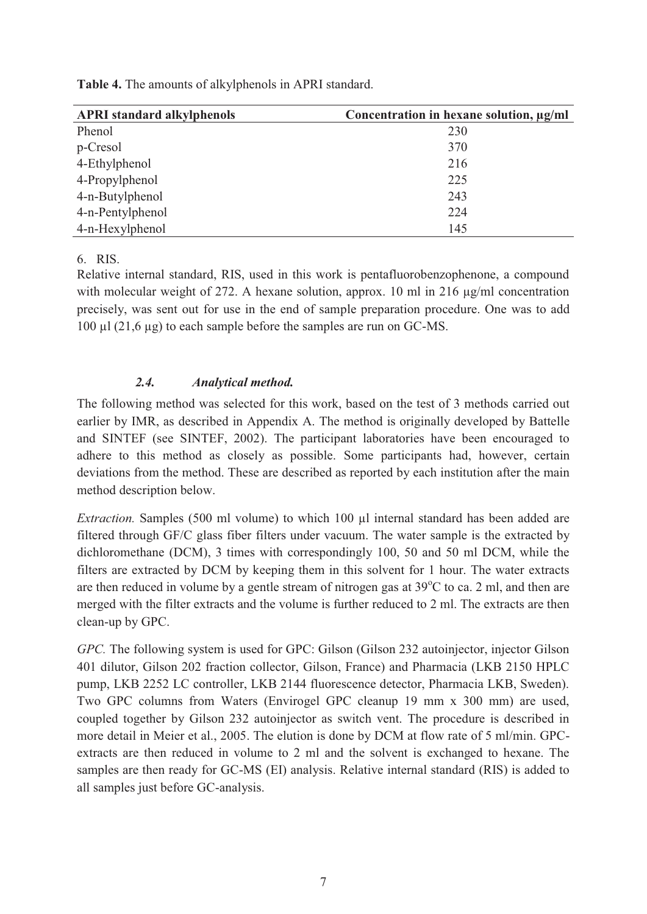| <b>Table 4.</b> The amounts of alkylphenols in APRI standard. |
|---------------------------------------------------------------|
|---------------------------------------------------------------|

| <b>APRI</b> standard alkylphenols | Concentration in hexane solution, µg/ml |
|-----------------------------------|-----------------------------------------|
| Phenol                            | 230                                     |
| p-Cresol                          | 370                                     |
| 4-Ethylphenol                     | 216                                     |
| 4-Propylphenol                    | 225                                     |
| 4-n-Butylphenol                   | 243                                     |
| 4-n-Pentylphenol                  | 224                                     |
| 4-n-Hexylphenol                   | 145                                     |

6. RIS.

Relative internal standard, RIS, used in this work is pentafluorobenzophenone, a compound with molecular weight of 272. A hexane solution, approx. 10 ml in 216  $\mu$ g/ml concentration precisely, was sent out for use in the end of sample preparation procedure. One was to add 100 µl (21,6 µg) to each sample before the samples are run on GC-MS.

#### *2.4. Analytical method.*

The following method was selected for this work, based on the test of 3 methods carried out earlier by IMR, as described in Appendix A. The method is originally developed by Battelle and SINTEF (see SINTEF, 2002). The participant laboratories have been encouraged to adhere to this method as closely as possible. Some participants had, however, certain deviations from the method. These are described as reported by each institution after the main method description below.

*Extraction.* Samples (500 ml volume) to which 100 µl internal standard has been added are filtered through GF/C glass fiber filters under vacuum. The water sample is the extracted by dichloromethane (DCM), 3 times with correspondingly 100, 50 and 50 ml DCM, while the filters are extracted by DCM by keeping them in this solvent for 1 hour. The water extracts are then reduced in volume by a gentle stream of nitrogen gas at  $39^{\circ}$ C to ca. 2 ml, and then are merged with the filter extracts and the volume is further reduced to 2 ml. The extracts are then clean-up by GPC.

*GPC.* The following system is used for GPC: Gilson (Gilson 232 autoinjector, injector Gilson 401 dilutor, Gilson 202 fraction collector, Gilson, France) and Pharmacia (LKB 2150 HPLC pump, LKB 2252 LC controller, LKB 2144 fluorescence detector, Pharmacia LKB, Sweden). Two GPC columns from Waters (Envirogel GPC cleanup 19 mm x 300 mm) are used, coupled together by Gilson 232 autoinjector as switch vent. The procedure is described in more detail in Meier et al., 2005. The elution is done by DCM at flow rate of 5 ml/min. GPCextracts are then reduced in volume to 2 ml and the solvent is exchanged to hexane. The samples are then ready for GC-MS (EI) analysis. Relative internal standard (RIS) is added to all samples just before GC-analysis.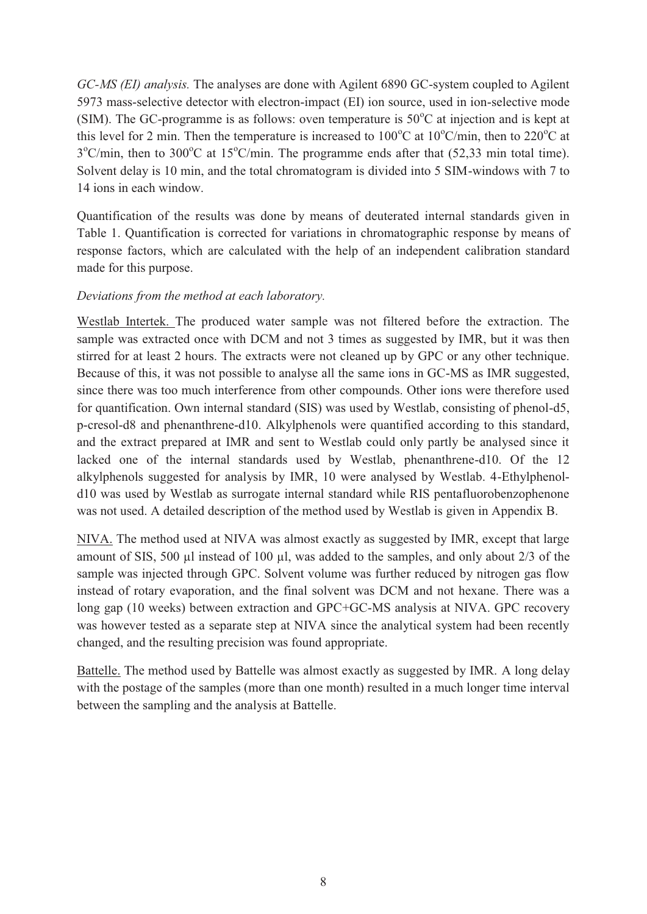*GC-MS (EI) analysis.* The analyses are done with Agilent 6890 GC-system coupled to Agilent 5973 mass-selective detector with electron-impact (EI) ion source, used in ion-selective mode (SIM). The GC-programme is as follows: oven temperature is  $50^{\circ}$ C at injection and is kept at this level for 2 min. Then the temperature is increased to  $100^{\circ}$ C at  $10^{\circ}$ C/min, then to  $220^{\circ}$ C at  $3^{\circ}$ C/min, then to  $300^{\circ}$ C at  $15^{\circ}$ C/min. The programme ends after that (52,33 min total time). Solvent delay is 10 min, and the total chromatogram is divided into 5 SIM-windows with 7 to 14 ions in each window.

Quantification of the results was done by means of deuterated internal standards given in Table 1. Quantification is corrected for variations in chromatographic response by means of response factors, which are calculated with the help of an independent calibration standard made for this purpose.

#### *Deviations from the method at each laboratory.*

Westlab Intertek. The produced water sample was not filtered before the extraction. The sample was extracted once with DCM and not 3 times as suggested by IMR, but it was then stirred for at least 2 hours. The extracts were not cleaned up by GPC or any other technique. Because of this, it was not possible to analyse all the same ions in GC-MS as IMR suggested, since there was too much interference from other compounds. Other ions were therefore used for quantification. Own internal standard (SIS) was used by Westlab, consisting of phenol-d5, p-cresol-d8 and phenanthrene-d10. Alkylphenols were quantified according to this standard, and the extract prepared at IMR and sent to Westlab could only partly be analysed since it lacked one of the internal standards used by Westlab, phenanthrene-d10. Of the 12 alkylphenols suggested for analysis by IMR, 10 were analysed by Westlab. 4-Ethylphenold10 was used by Westlab as surrogate internal standard while RIS pentafluorobenzophenone was not used. A detailed description of the method used by Westlab is given in Appendix B.

NIVA. The method used at NIVA was almost exactly as suggested by IMR, except that large amount of SIS, 500 µl instead of 100 µl, was added to the samples, and only about  $2/3$  of the sample was injected through GPC. Solvent volume was further reduced by nitrogen gas flow instead of rotary evaporation, and the final solvent was DCM and not hexane. There was a long gap (10 weeks) between extraction and GPC+GC-MS analysis at NIVA. GPC recovery was however tested as a separate step at NIVA since the analytical system had been recently changed, and the resulting precision was found appropriate.

Battelle. The method used by Battelle was almost exactly as suggested by IMR. A long delay with the postage of the samples (more than one month) resulted in a much longer time interval between the sampling and the analysis at Battelle.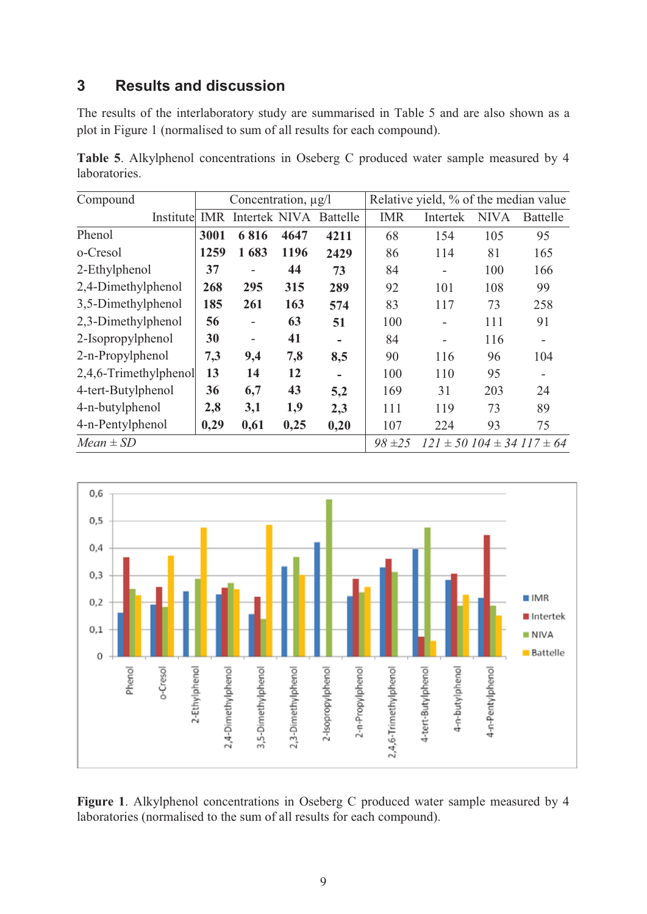# **3 Results and discussion**

The results of the interlaboratory study are summarised in Table 5 and are also shown as a plot in Figure 1 (normalised to sum of all results for each compound).

**Table 5**. Alkylphenol concentrations in Oseberg C produced water sample measured by 4 laboratories.

| Compound              | Concentration, $\mu$ g/l |                          |      |                          | Relative yield, % of the median value |                          |             |                                        |
|-----------------------|--------------------------|--------------------------|------|--------------------------|---------------------------------------|--------------------------|-------------|----------------------------------------|
| Institute             |                          | <b>IMR</b> Intertek NIVA |      | Battelle                 | <b>IMR</b>                            | Intertek                 | <b>NIVA</b> | <b>Battelle</b>                        |
| Phenol                | 3001                     | 6816                     | 4647 | 4211                     | 68                                    | 154                      | 105         | 95                                     |
| o-Cresol              | 1259                     | 1683                     | 1196 | 2429                     | 86                                    | 114                      | 81          | 165                                    |
| 2-Ethylphenol         | 37                       | $\overline{\phantom{0}}$ | 44   | 73                       | 84                                    |                          | 100         | 166                                    |
| 2,4-Dimethylphenol    | 268                      | 295                      | 315  | 289                      | 92                                    | 101                      | 108         | 99                                     |
| 3,5-Dimethylphenol    | 185                      | 261                      | 163  | 574                      | 83                                    | 117                      | 73          | 258                                    |
| 2,3-Dimethylphenol    | 56                       | $\overline{\phantom{0}}$ | 63   | 51                       | 100                                   | -                        | 111         | 91                                     |
| 2-Isopropylphenol     | 30                       | -                        | 41   | $\blacksquare$           | 84                                    | $\overline{\phantom{a}}$ | 116         | $\overline{\phantom{a}}$               |
| 2-n-Propylphenol      | 7,3                      | 9,4                      | 7,8  | 8,5                      | 90                                    | 116                      | 96          | 104                                    |
| 2,4,6-Trimethylphenol | 13                       | 14                       | 12   | $\overline{\phantom{0}}$ | 100                                   | 110                      | 95          |                                        |
| 4-tert-Butylphenol    | 36                       | 6,7                      | 43   | 5,2                      | 169                                   | 31                       | 203         | 24                                     |
| 4-n-butylphenol       | 2,8                      | 3,1                      | 1,9  | 2,3                      | 111                                   | 119                      | 73          | 89                                     |
| 4-n-Pentylphenol      | 0,29                     | 0,61                     | 0,25 | 0,20                     | 107                                   | 224                      | 93          | 75                                     |
| $Mean \pm SD$         |                          |                          |      |                          | $98 = 25$                             |                          |             | $121 \pm 50$ $104 \pm 34$ $117 \pm 64$ |



**Figure 1**. Alkylphenol concentrations in Oseberg C produced water sample measured by 4 laboratories (normalised to the sum of all results for each compound).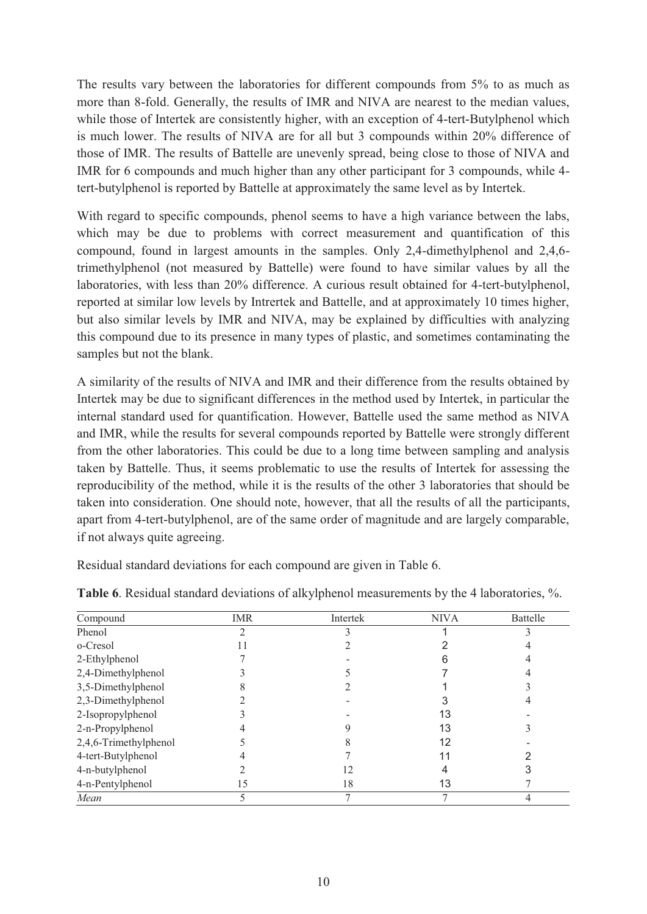The results vary between the laboratories for different compounds from 5% to as much as more than 8-fold. Generally, the results of IMR and NIVA are nearest to the median values, while those of Intertek are consistently higher, with an exception of 4-tert-Butylphenol which is much lower. The results of NIVA are for all but 3 compounds within 20% difference of those of IMR. The results of Battelle are unevenly spread, being close to those of NIVA and IMR for 6 compounds and much higher than any other participant for 3 compounds, while 4 tert-butylphenol is reported by Battelle at approximately the same level as by Intertek.

With regard to specific compounds, phenol seems to have a high variance between the labs, which may be due to problems with correct measurement and quantification of this compound, found in largest amounts in the samples. Only 2,4-dimethylphenol and 2,4,6 trimethylphenol (not measured by Battelle) were found to have similar values by all the laboratories, with less than 20% difference. A curious result obtained for 4-tert-butylphenol, reported at similar low levels by Intrertek and Battelle, and at approximately 10 times higher, but also similar levels by IMR and NIVA, may be explained by difficulties with analyzing this compound due to its presence in many types of plastic, and sometimes contaminating the samples but not the blank.

A similarity of the results of NIVA and IMR and their difference from the results obtained by Intertek may be due to significant differences in the method used by Intertek, in particular the internal standard used for quantification. However, Battelle used the same method as NIVA and IMR, while the results for several compounds reported by Battelle were strongly different from the other laboratories. This could be due to a long time between sampling and analysis taken by Battelle. Thus, it seems problematic to use the results of Intertek for assessing the reproducibility of the method, while it is the results of the other 3 laboratories that should be taken into consideration. One should note, however, that all the results of all the participants, apart from 4-tert-butylphenol, are of the same order of magnitude and are largely comparable, if not always quite agreeing.

Residual standard deviations for each compound are given in Table 6.

| Compound              | <b>IMR</b> | Intertek | <b>NIVA</b> | Battelle |
|-----------------------|------------|----------|-------------|----------|
| Phenol                | ∍          |          |             |          |
| o-Cresol              |            |          |             |          |
| 2-Ethylphenol         |            |          |             |          |
| 2,4-Dimethylphenol    |            |          |             |          |
| 3,5-Dimethylphenol    |            |          |             |          |
| 2,3-Dimethylphenol    |            |          |             |          |
| 2-Isopropylphenol     |            |          | 13          |          |
| 2-n-Propylphenol      |            |          | 13          |          |
| 2,4,6-Trimethylphenol |            |          | 12          |          |
| 4-tert-Butylphenol    |            |          |             |          |
| 4-n-butylphenol       |            |          |             |          |
| 4-n-Pentylphenol      | 15         | 18       | 13          |          |
| Mean                  |            |          |             |          |

**Table 6**. Residual standard deviations of alkylphenol measurements by the 4 laboratories, %.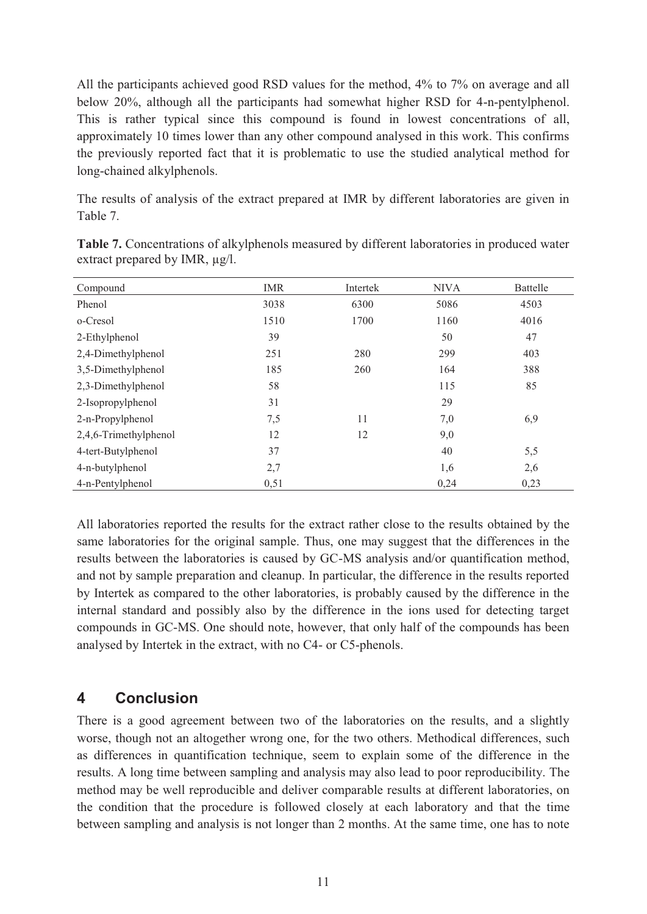All the participants achieved good RSD values for the method, 4% to 7% on average and all below 20%, although all the participants had somewhat higher RSD for 4-n-pentylphenol. This is rather typical since this compound is found in lowest concentrations of all, approximately 10 times lower than any other compound analysed in this work. This confirms the previously reported fact that it is problematic to use the studied analytical method for long-chained alkylphenols.

The results of analysis of the extract prepared at IMR by different laboratories are given in Table 7.

| Compound              | <b>IMR</b> | Intertek | <b>NIVA</b> | Battelle |
|-----------------------|------------|----------|-------------|----------|
| Phenol                | 3038       | 6300     | 5086        | 4503     |
| o-Cresol              | 1510       | 1700     | 1160        | 4016     |
| 2-Ethylphenol         | 39         |          | 50          | 47       |
| 2,4-Dimethylphenol    | 251        | 280      | 299         | 403      |
| 3,5-Dimethylphenol    | 185        | 260      | 164         | 388      |
| 2,3-Dimethylphenol    | 58         |          | 115         | 85       |
| 2-Isopropylphenol     | 31         |          | 29          |          |
| 2-n-Propylphenol      | 7,5        | 11       | 7,0         | 6,9      |
| 2,4,6-Trimethylphenol | 12         | 12       | 9,0         |          |
| 4-tert-Butylphenol    | 37         |          | 40          | 5,5      |
| 4-n-butylphenol       | 2,7        |          | 1,6         | 2,6      |
| 4-n-Pentylphenol      | 0,51       |          | 0,24        | 0,23     |

**Table 7.** Concentrations of alkylphenols measured by different laboratories in produced water extract prepared by IMR, µg/l.

All laboratories reported the results for the extract rather close to the results obtained by the same laboratories for the original sample. Thus, one may suggest that the differences in the results between the laboratories is caused by GC-MS analysis and/or quantification method, and not by sample preparation and cleanup. In particular, the difference in the results reported by Intertek as compared to the other laboratories, is probably caused by the difference in the internal standard and possibly also by the difference in the ions used for detecting target compounds in GC-MS. One should note, however, that only half of the compounds has been analysed by Intertek in the extract, with no C4- or C5-phenols.

# **4 Conclusion**

There is a good agreement between two of the laboratories on the results, and a slightly worse, though not an altogether wrong one, for the two others. Methodical differences, such as differences in quantification technique, seem to explain some of the difference in the results. A long time between sampling and analysis may also lead to poor reproducibility. The method may be well reproducible and deliver comparable results at different laboratories, on the condition that the procedure is followed closely at each laboratory and that the time between sampling and analysis is not longer than 2 months. At the same time, one has to note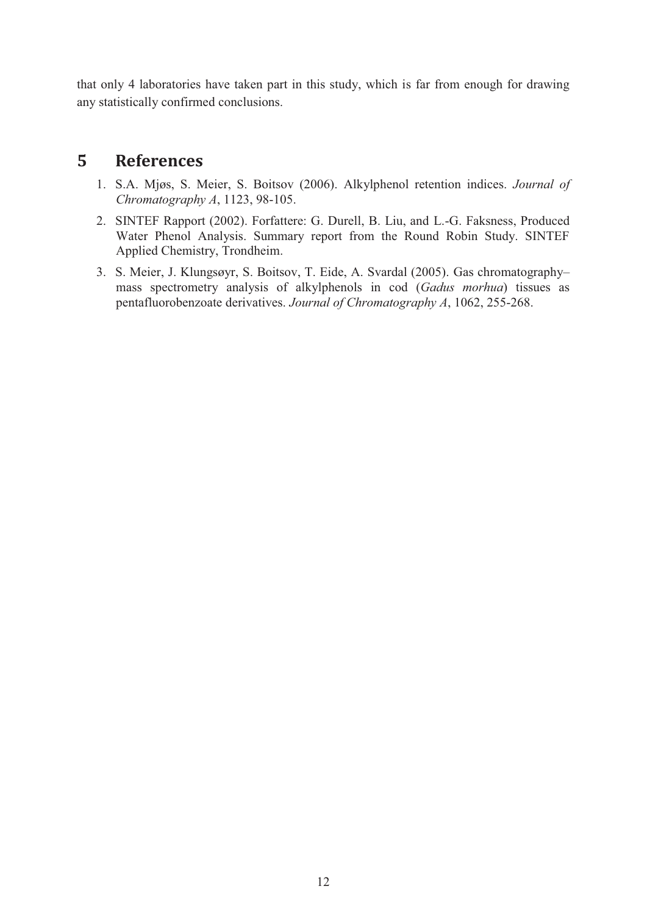that only 4 laboratories have taken part in this study, which is far from enough for drawing any statistically confirmed conclusions.

# **5 References**

- 1. S.A. Mjøs, S. Meier, S. Boitsov (2006). Alkylphenol retention indices. *Journal of Chromatography A*, 1123, 98-105.
- 2. SINTEF Rapport (2002). Forfattere: G. Durell, B. Liu, and L.-G. Faksness, Produced Water Phenol Analysis. Summary report from the Round Robin Study. SINTEF Applied Chemistry, Trondheim.
- 3. S. Meier, J. Klungsøyr, S. Boitsov, T. Eide, A. Svardal (2005). Gas chromatography– mass spectrometry analysis of alkylphenols in cod (*Gadus morhua*) tissues as pentafluorobenzoate derivatives. *Journal of Chromatography A*, 1062, 255-268.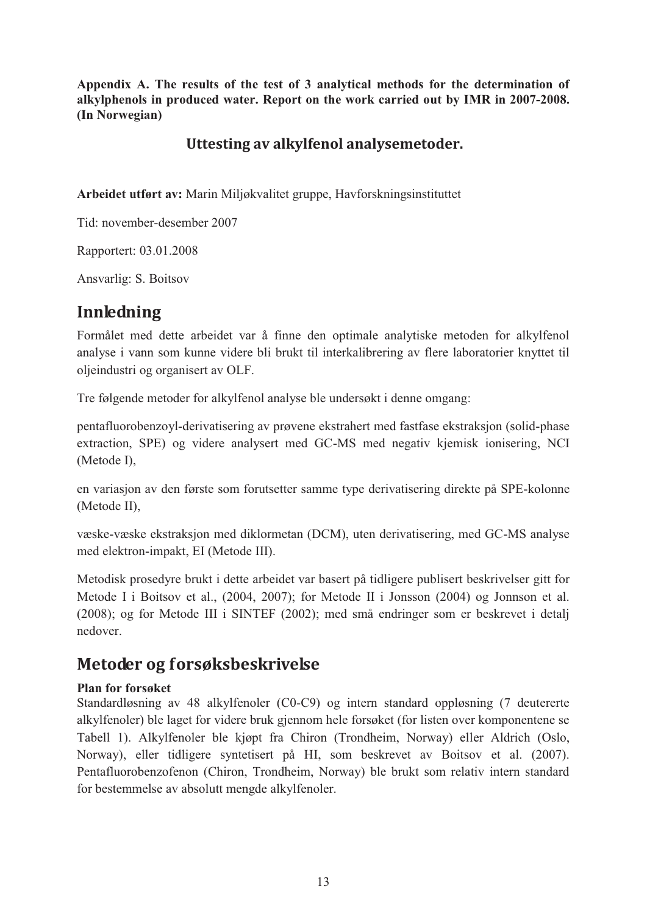**Appendix A. The results of the test of 3 analytical methods for the determination of alkylphenols in produced water. Report on the work carried out by IMR in 2007-2008. (In Norwegian)** 

# **Uttesting av alkylfenol analysemetoder.**

**Arbeidet utført av:** Marin Miljøkvalitet gruppe, Havforskningsinstituttet

Tid: november-desember 2007

Rapportert: 03.01.2008

Ansvarlig: S. Boitsov

# **Innledning**

Formålet med dette arbeidet var å finne den optimale analytiske metoden for alkylfenol analyse i vann som kunne videre bli brukt til interkalibrering av flere laboratorier knyttet til oljeindustri og organisert av OLF.

Tre følgende metoder for alkylfenol analyse ble undersøkt i denne omgang:

pentafluorobenzoyl-derivatisering av prøvene ekstrahert med fastfase ekstraksjon (solid-phase extraction, SPE) og videre analysert med GC-MS med negativ kjemisk ionisering, NCI (Metode I),

en variasjon av den første som forutsetter samme type derivatisering direkte på SPE-kolonne (Metode II),

væske-væske ekstraksjon med diklormetan (DCM), uten derivatisering, med GC-MS analyse med elektron-impakt, EI (Metode III).

Metodisk prosedyre brukt i dette arbeidet var basert på tidligere publisert beskrivelser gitt for Metode I i Boitsov et al., (2004, 2007); for Metode II i Jonsson (2004) og Jonnson et al. (2008); og for Metode III i SINTEF (2002); med små endringer som er beskrevet i detalj nedover.

# **Metoder og forsøksbeskrivelse**

#### **Plan for forsøket**

Standardløsning av 48 alkylfenoler (C0-C9) og intern standard oppløsning (7 deutererte alkylfenoler) ble laget for videre bruk gjennom hele forsøket (for listen over komponentene se Tabell 1). Alkylfenoler ble kjøpt fra Chiron (Trondheim, Norway) eller Aldrich (Oslo, Norway), eller tidligere syntetisert på HI, som beskrevet av Boitsov et al. (2007). Pentafluorobenzofenon (Chiron, Trondheim, Norway) ble brukt som relativ intern standard for bestemmelse av absolutt mengde alkylfenoler.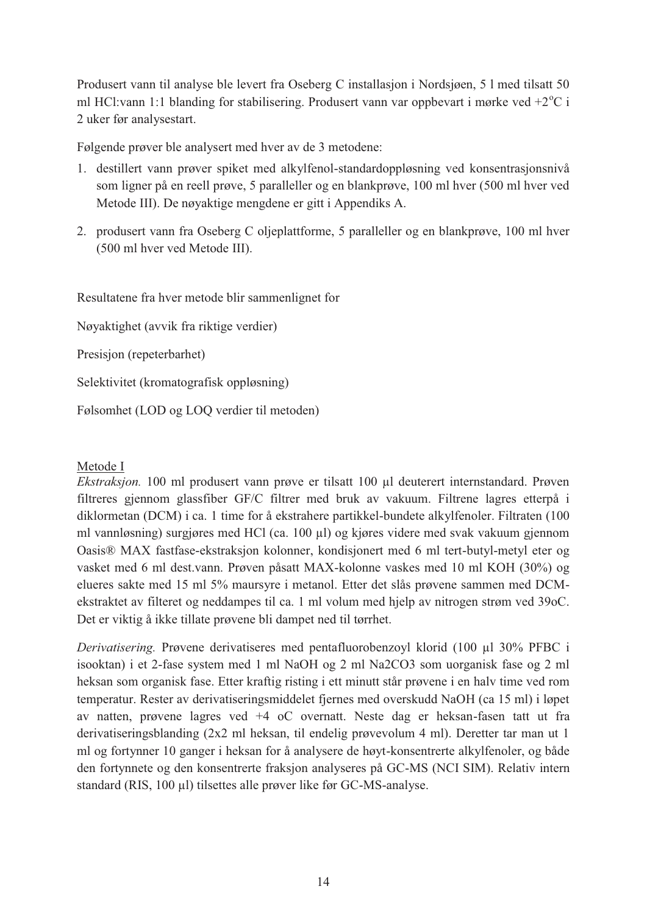Produsert vann til analyse ble levert fra Oseberg C installasjon i Nordsjøen, 5 l med tilsatt 50 ml HCl:vann 1:1 blanding for stabilisering. Produsert vann var oppbevart i mørke ved  $+2$ <sup>o</sup>C i 2 uker før analysestart.

Følgende prøver ble analysert med hver av de 3 metodene:

- 1. destillert vann prøver spiket med alkylfenol-standardoppløsning ved konsentrasjonsnivå som ligner på en reell prøve, 5 paralleller og en blankprøve, 100 ml hver (500 ml hver ved Metode III). De nøyaktige mengdene er gitt i Appendiks A.
- 2. produsert vann fra Oseberg C oljeplattforme, 5 paralleller og en blankprøve, 100 ml hver (500 ml hver ved Metode III).

Resultatene fra hver metode blir sammenlignet for

Nøyaktighet (avvik fra riktige verdier)

Presisjon (repeterbarhet)

Selektivitet (kromatografisk oppløsning)

Følsomhet (LOD og LOQ verdier til metoden)

#### Metode I

*Ekstraksjon.* 100 ml produsert vann prøve er tilsatt 100 µl deuterert internstandard. Prøven filtreres gjennom glassfiber GF/C filtrer med bruk av vakuum. Filtrene lagres etterpå i diklormetan (DCM) i ca. 1 time for å ekstrahere partikkel-bundete alkylfenoler. Filtraten (100 ml vannløsning) surgjøres med HCl (ca. 100 µl) og kjøres videre med svak vakuum gjennom Oasis® MAX fastfase-ekstraksjon kolonner, kondisjonert med 6 ml tert-butyl-metyl eter og vasket med 6 ml dest.vann. Prøven påsatt MAX-kolonne vaskes med 10 ml KOH (30%) og elueres sakte med 15 ml 5% maursyre i metanol. Etter det slås prøvene sammen med DCMekstraktet av filteret og neddampes til ca. 1 ml volum med hjelp av nitrogen strøm ved 39oC. Det er viktig å ikke tillate prøvene bli dampet ned til tørrhet.

*Derivatisering.* Prøvene derivatiseres med pentafluorobenzoyl klorid (100 µl 30% PFBC i isooktan) i et 2-fase system med 1 ml NaOH og 2 ml Na2CO3 som uorganisk fase og 2 ml heksan som organisk fase. Etter kraftig risting i ett minutt står prøvene i en halv time ved rom temperatur. Rester av derivatiseringsmiddelet fjernes med overskudd NaOH (ca 15 ml) i løpet av natten, prøvene lagres ved +4 oC overnatt. Neste dag er heksan-fasen tatt ut fra derivatiseringsblanding (2x2 ml heksan, til endelig prøvevolum 4 ml). Deretter tar man ut 1 ml og fortynner 10 ganger i heksan for å analysere de høyt-konsentrerte alkylfenoler, og både den fortynnete og den konsentrerte fraksjon analyseres på GC-MS (NCI SIM). Relativ intern standard (RIS, 100 µl) tilsettes alle prøver like før GC-MS-analyse.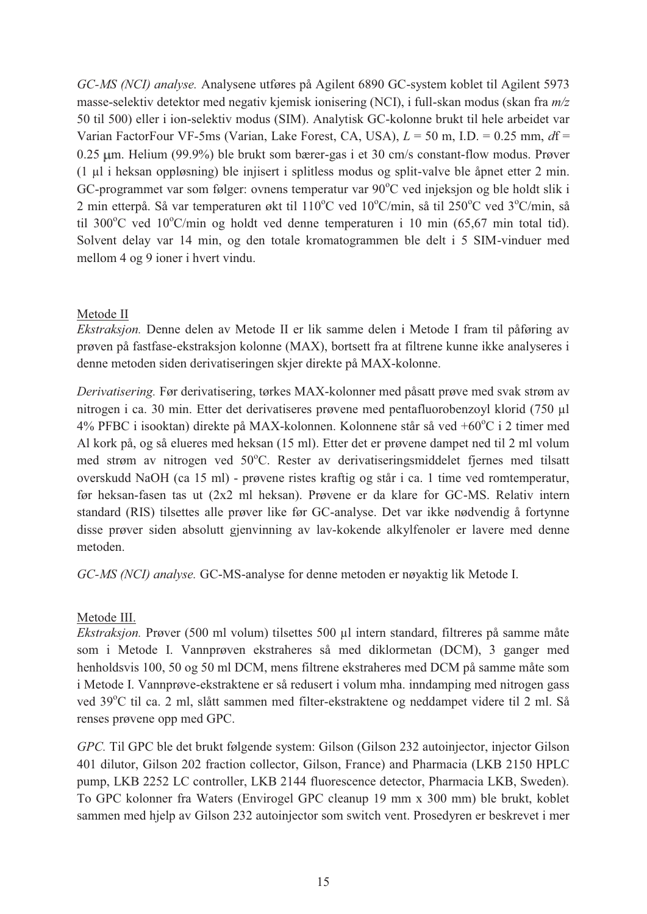*GC-MS (NCI) analyse.* Analysene utføres på Agilent 6890 GC-system koblet til Agilent 5973 masse-selektiv detektor med negativ kjemisk ionisering (NCI), i full-skan modus (skan fra *m/z* 50 til 500) eller i ion-selektiv modus (SIM). Analytisk GC-kolonne brukt til hele arbeidet var Varian FactorFour VF-5ms (Varian, Lake Forest, CA, USA), *L* = 50 m, I.D. = 0.25 mm, *d*f = 0.25 um. Helium (99.9%) ble brukt som bærer-gas i et 30 cm/s constant-flow modus. Prøver (1 µl i heksan oppløsning) ble injisert i splitless modus og split-valve ble åpnet etter 2 min. GC-programmet var som følger: ovnens temperatur var 90°C ved injeksjon og ble holdt slik i 2 min etterpå. Så var temperaturen økt til 110°C ved 10°C/min, så til 250°C ved 3°C/min, så til 300 $^{\circ}$ C ved 10 $^{\circ}$ C/min og holdt ved denne temperaturen i 10 min (65,67 min total tid). Solvent delay var 14 min, og den totale kromatogrammen ble delt i 5 SIM-vinduer med mellom 4 og 9 ioner i hvert vindu.

#### Metode II

*Ekstraksjon.* Denne delen av Metode II er lik samme delen i Metode I fram til påføring av prøven på fastfase-ekstraksjon kolonne (MAX), bortsett fra at filtrene kunne ikke analyseres i denne metoden siden derivatiseringen skjer direkte på MAX-kolonne.

*Derivatisering.* Før derivatisering, tørkes MAX-kolonner med påsatt prøve med svak strøm av nitrogen i ca. 30 min. Etter det derivatiseres prøvene med pentafluorobenzoyl klorid (750 µl 4% PFBC i isooktan) direkte på MAX-kolonnen. Kolonnene står så ved +60°C i 2 timer med Al kork på, og så elueres med heksan (15 ml). Etter det er prøvene dampet ned til 2 ml volum med strøm av nitrogen ved 50°C. Rester av derivatiseringsmiddelet fjernes med tilsatt overskudd NaOH (ca 15 ml) - prøvene ristes kraftig og står i ca. 1 time ved romtemperatur, før heksan-fasen tas ut (2x2 ml heksan). Prøvene er da klare for GC-MS. Relativ intern standard (RIS) tilsettes alle prøver like før GC-analyse. Det var ikke nødvendig å fortynne disse prøver siden absolutt gjenvinning av lav-kokende alkylfenoler er lavere med denne metoden.

*GC-MS (NCI) analyse.* GC-MS-analyse for denne metoden er nøyaktig lik Metode I.

#### Metode III.

*Ekstraksjon.* Prøver (500 ml volum) tilsettes 500 µl intern standard, filtreres på samme måte som i Metode I. Vannprøven ekstraheres så med diklormetan (DCM), 3 ganger med henholdsvis 100, 50 og 50 ml DCM, mens filtrene ekstraheres med DCM på samme måte som i Metode I. Vannprøve-ekstraktene er så redusert i volum mha. inndamping med nitrogen gass ved 39°C til ca. 2 ml, slått sammen med filter-ekstraktene og neddampet videre til 2 ml. Så renses prøvene opp med GPC.

*GPC.* Til GPC ble det brukt følgende system: Gilson (Gilson 232 autoinjector, injector Gilson 401 dilutor, Gilson 202 fraction collector, Gilson, France) and Pharmacia (LKB 2150 HPLC pump, LKB 2252 LC controller, LKB 2144 fluorescence detector, Pharmacia LKB, Sweden). To GPC kolonner fra Waters (Envirogel GPC cleanup 19 mm x 300 mm) ble brukt, koblet sammen med hjelp av Gilson 232 autoinjector som switch vent. Prosedyren er beskrevet i mer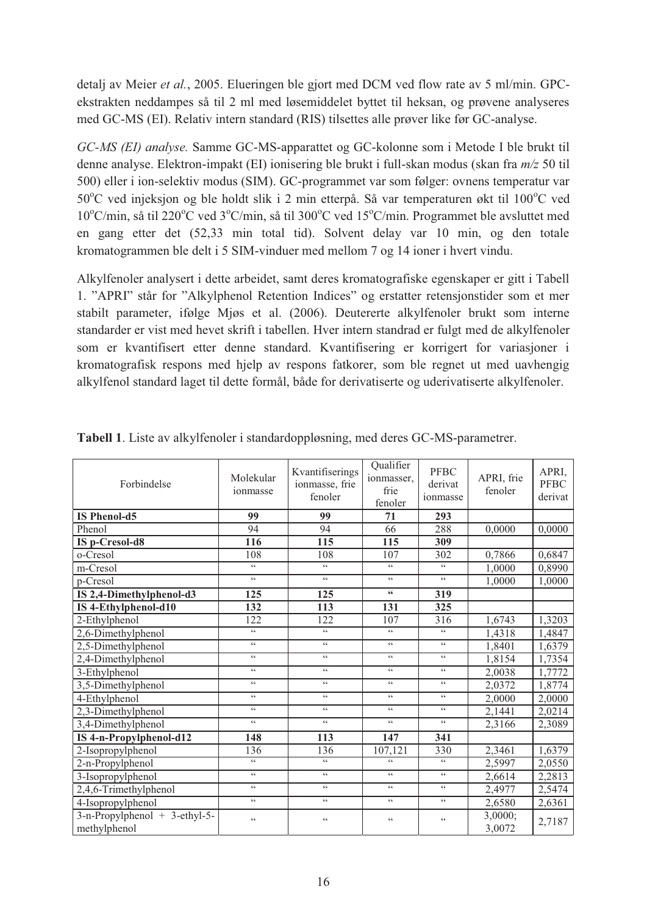detalj av Meier *et al.*, 2005. Elueringen ble gjort med DCM ved flow rate av 5 ml/min. GPCekstrakten neddampes så til 2 ml med løsemiddelet byttet til heksan, og prøvene analyseres med GC-MS (EI). Relativ intern standard (RIS) tilsettes alle prøver like før GC-analyse.

*GC-MS (EI) analyse.* Samme GC-MS-apparattet og GC-kolonne som i Metode I ble brukt til denne analyse. Elektron-impakt (EI) ionisering ble brukt i full-skan modus (skan fra *m/z* 50 til 500) eller i ion-selektiv modus (SIM). GC-programmet var som følger: ovnens temperatur var 50°C ved injeksjon og ble holdt slik i 2 min etterpå. Så var temperaturen økt til 100°C ved 10°C/min, så til 220°C ved 3°C/min, så til 300°C ved 15°C/min. Programmet ble avsluttet med en gang etter det (52,33 min total tid). Solvent delay var 10 min, og den totale kromatogrammen ble delt i 5 SIM-vinduer med mellom 7 og 14 ioner i hvert vindu.

Alkylfenoler analysert i dette arbeidet, samt deres kromatografiske egenskaper er gitt i Tabell 1. "APRI" står for "Alkylphenol Retention Indices" og erstatter retensjonstider som et mer stabilt parameter, ifølge Mjøs et al. (2006). Deutererte alkylfenoler brukt som interne standarder er vist med hevet skrift i tabellen. Hver intern standrad er fulgt med de alkylfenoler som er kvantifisert etter denne standard. Kvantifisering er korrigert for variasjoner i kromatografisk respons med hjelp av respons fatkorer, som ble regnet ut med uavhengig alkylfenol standard laget til dette formål, både for derivatiserte og uderivatiserte alkylfenoler.

| Forbindelse                                      | Molekular<br>ionmasse | Kvantifiserings<br>ionmasse, frie<br>fenoler | Qualifier<br>ionmasser,<br>frie<br>fenoler | <b>PFBC</b><br>derivat<br>ionmasse | APRI, frie<br>fenoler | APRI,<br><b>PFBC</b><br>derivat |
|--------------------------------------------------|-----------------------|----------------------------------------------|--------------------------------------------|------------------------------------|-----------------------|---------------------------------|
| <b>IS Phenol-d5</b>                              | 99                    | 99                                           | 71                                         | 293                                |                       |                                 |
| Phenol                                           | 94                    | 94                                           | 66                                         | 288                                | 0,0000                | 0,0000                          |
| IS p-Cresol-d8                                   | 116                   | 115                                          | 115                                        | 309                                |                       |                                 |
| o-Cresol                                         | 108                   | 108                                          | 107                                        | 302                                | 0,7866                | 0,6847                          |
| m-Cresol                                         | $\zeta\,\zeta$        | $\zeta$ $\zeta$                              | $\zeta\,\zeta$                             | $\zeta\,\zeta$                     | 1,0000                | 0,8990                          |
| p-Cresol                                         | $\zeta\,\zeta$        | $\zeta$ $\zeta$                              | $\zeta$ $\zeta$                            | $\zeta\,\zeta$                     | 1,0000                | 1,0000                          |
| IS 2,4-Dimethylphenol-d3                         | 125                   | 125                                          | ${\scriptstyle \mathsf{66}}$               | 319                                |                       |                                 |
| IS 4-Ethylphenol-d10                             | 132                   | 113                                          | 131                                        | 325                                |                       |                                 |
| 2-Ethylphenol                                    | 122                   | 122                                          | 107                                        | 316                                | 1,6743                | 1,3203                          |
| 2,6-Dimethylphenol                               | $\zeta$ $\zeta$       | $\zeta$ $\zeta$                              | $\zeta$ $\zeta$                            | $\zeta\,\zeta$                     | 1,4318                | 1,4847                          |
| 2,5-Dimethylphenol                               | $\zeta\,\zeta$        | $\zeta \zeta$                                | $\zeta\,\zeta$                             | $\zeta\,\zeta$                     | 1.8401                | 1,6379                          |
| 2,4-Dimethylphenol                               | $\zeta$ $\zeta$       | $\zeta$ $\zeta$                              | $\zeta$ $\zeta$                            | $\zeta$ $\zeta$                    | 1,8154                | 1,7354                          |
| 3-Ethylphenol                                    | $\zeta$ $\zeta$       | $\zeta \, \zeta$                             | $\zeta$ $\zeta$                            | $\zeta$ $\zeta$                    | 2,0038                | 1,7772                          |
| 3,5-Dimethylphenol                               | $\zeta$ $\zeta$       | $\zeta \zeta$                                | $\zeta$ $\zeta$                            | $\zeta$ $\zeta$                    | 2.0372                | 1,8774                          |
| 4-Ethylphenol                                    | $\zeta$ $\zeta$       | $\zeta \, \zeta$                             | $\zeta$ $\zeta$                            | $\zeta$ $\zeta$                    | 2,0000                | 2,0000                          |
| 2,3-Dimethylphenol                               | $\zeta$ $\zeta$       | $\zeta \, \zeta$                             | $\zeta$ $\zeta$                            | $\zeta$ $\zeta$                    | 2,1441                | 2,0214                          |
| 3,4-Dimethylphenol                               | $\zeta$ $\zeta$       | $\zeta$ $\zeta$                              | $\zeta$ $\zeta$                            | $\zeta$ $\zeta$                    | 2,3166                | 2,3089                          |
| IS 4-n-Propylphenol-d12                          | 148                   | 113                                          | 147                                        | 341                                |                       |                                 |
| 2-Isopropylphenol                                | 136                   | 136                                          | 107,121                                    | 330                                | 2,3461                | 1,6379                          |
| 2-n-Propylphenol                                 | $\zeta$ $\zeta$       | $\zeta$ $\zeta$                              | $\zeta$ $\zeta$                            | $\zeta \, \zeta$                   | 2,5997                | 2,0550                          |
| 3-Isopropylphenol                                | $\zeta\,\zeta$        | $\zeta \, \zeta$                             | $\zeta$ $\zeta$                            | $\zeta$ $\zeta$                    | 2,6614                | 2,2813                          |
| 2,4,6-Trimethylphenol                            | $\zeta$ $\zeta$       | $\zeta$ $\zeta$                              | $\zeta$ $\zeta$                            | $\zeta$ $\zeta$                    | 2,4977                | 2,5474                          |
| 4-Isopropylphenol                                | $\zeta$ $\zeta$       | 66                                           | $\zeta$ $\zeta$                            | $\zeta$ $\zeta$                    | 2,6580                | 2,6361                          |
| $3-n$ -Propylphenol + 3-ethyl-5-<br>methylphenol | $\zeta$ $\zeta$       | $\zeta$ $\zeta$                              | $\zeta$ $\zeta$                            | $\zeta$ $\zeta$                    | 3,0000;<br>3,0072     | 2,7187                          |

**Tabell 1**. Liste av alkylfenoler i standardoppløsning, med deres GC-MS-parametrer.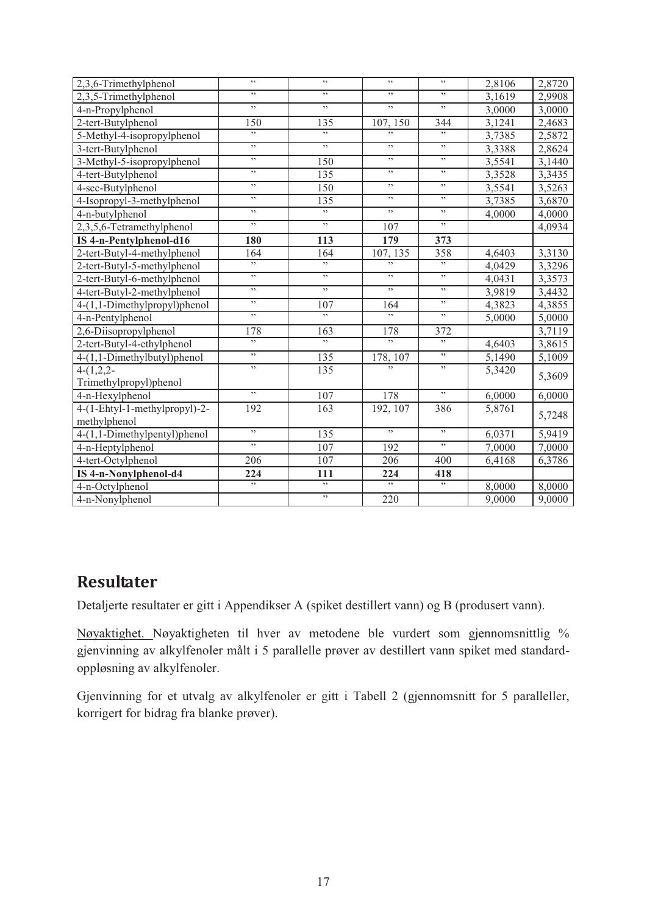| 2,3,6-Trimethylphenol         | $\zeta\,\zeta$ | $\zeta$ $\zeta$  | $\zeta\,\zeta$ | $\overline{\mathfrak{c}\mathfrak{c}}$ | 2,8106 | 2,8720 |
|-------------------------------|----------------|------------------|----------------|---------------------------------------|--------|--------|
| 2,3,5-Trimethylphenol         | ,,             | , ,              | , ,            | , ,                                   | 3,1619 | 2,9908 |
| 4-n-Propylphenol              | ,,             | , ,              | , ,            | , ,                                   | 3,0000 | 3,0000 |
| 2-tert-Butylphenol            | 150            | 135              | 107, 150       | 344                                   | 3,1241 | 2,4683 |
| 5-Methyl-4-isopropylphenol    | ,,             | , ,              | , ,            | , ,                                   | 3,7385 | 2,5872 |
| 3-tert-Butylphenol            | ,,             | , ,              | , ,            | , ,                                   | 3,3388 | 2,8624 |
| 3-Methyl-5-isopropylphenol    | ,,             | 150              | , ,            | , ,                                   | 3,5541 | 3,1440 |
| 4-tert-Butylphenol            | ,,             | 135              | , ,            | , ,                                   | 3,3528 | 3,3435 |
| 4-sec-Butylphenol             | ,,             | 150              | , ,            | , ,                                   | 3,5541 | 3,5263 |
| 4-Isopropyl-3-methylphenol    | ,,             | 135              | , ,            | , ,                                   | 3,7385 | 3,6870 |
| 4-n-butylphenol               | ,,             | , ,              | , ,            | , ,                                   | 4,0000 | 4,0000 |
| 2,3,5,6-Tetramethylphenol     | ,,             | ,                | 107            | ,                                     |        | 4,0934 |
| IS 4-n-Pentylphenol-d16       | 180            | 113              | 179            | 373                                   |        |        |
| 2-tert-Butyl-4-methylphenol   | 164            | 164              | 107, 135       | 358                                   | 4,6403 | 3,3130 |
| 2-tert-Butyl-5-methylphenol   | ,,             | , ,              | ,              | ,                                     | 4,0429 | 3,3296 |
| 2-tert-Butyl-6-methylphenol   | ,              | , ,              | , ,            | , ,                                   | 4,0431 | 3,3573 |
| 4-tert-Butyl-2-methylphenol   | ,              | , ,              | ,              | , ,                                   | 3,9819 | 3,4432 |
| 4-(1,1-Dimethylpropyl)phenol  | ,              | 107              | 164            | ,                                     | 4,3823 | 4,3855 |
| 4-n-Pentylphenol              | , ,            | ,                | ,              | ,                                     | 5,0000 | 5,0000 |
| 2,6-Diisopropylphenol         | 178            | 163              | 178            | 372                                   |        | 3,7119 |
| 2-tert-Butyl-4-ethylphenol    | ,              | ,                | ,              | ,                                     | 4,6403 | 3,8615 |
| 4-(1,1-Dimethylbutyl)phenol   | ,              | 135              | 178, 107       | ,                                     | 5,1490 | 5,1009 |
| $4-(1,2,2-$                   | , ,            | 135              |                | ,                                     | 5,3420 |        |
| Trimethylpropyl)phenol        |                |                  |                |                                       |        | 5,3609 |
| 4-n-Hexylphenol               | , ,            | 107              | 178            | , ,                                   | 6,0000 | 6,0000 |
| 4-(1-Ehtyl-1-methylpropyl)-2- | 192            | $\overline{163}$ | 192, 107       | 386                                   | 5,8761 |        |
| methylphenol                  |                |                  |                |                                       |        | 5,7248 |
| 4-(1,1-Dimethylpentyl)phenol  | ,              | 135              | ,              | ,                                     | 6,0371 | 5,9419 |
| 4-n-Heptylphenol              | , ,            | 107              | 192            | ,                                     | 7,0000 | 7,0000 |
| 4-tert-Octylphenol            | 206            | 107              | 206            | 400                                   | 6,4168 | 6,3786 |
| IS 4-n-Nonylphenol-d4         | 224            | 111              | 224            | 418                                   |        |        |
| 4-n-Octylphenol               | , ,            | , ,              | ,              | ,                                     | 8,0000 | 8,0000 |
| 4-n-Nonylphenol               |                | , ,              | 220            |                                       | 9,0000 | 9,0000 |

# **Resultater**

Detaljerte resultater er gitt i Appendikser A (spiket destillert vann) og B (produsert vann).

Nøyaktighet. Nøyaktigheten til hver av metodene ble vurdert som gjennomsnittlig % gjenvinning av alkylfenoler målt i 5 parallelle prøver av destillert vann spiket med standardoppløsning av alkylfenoler.

Gjenvinning for et utvalg av alkylfenoler er gitt i Tabell 2 (gjennomsnitt for 5 paralleller, korrigert for bidrag fra blanke prøver).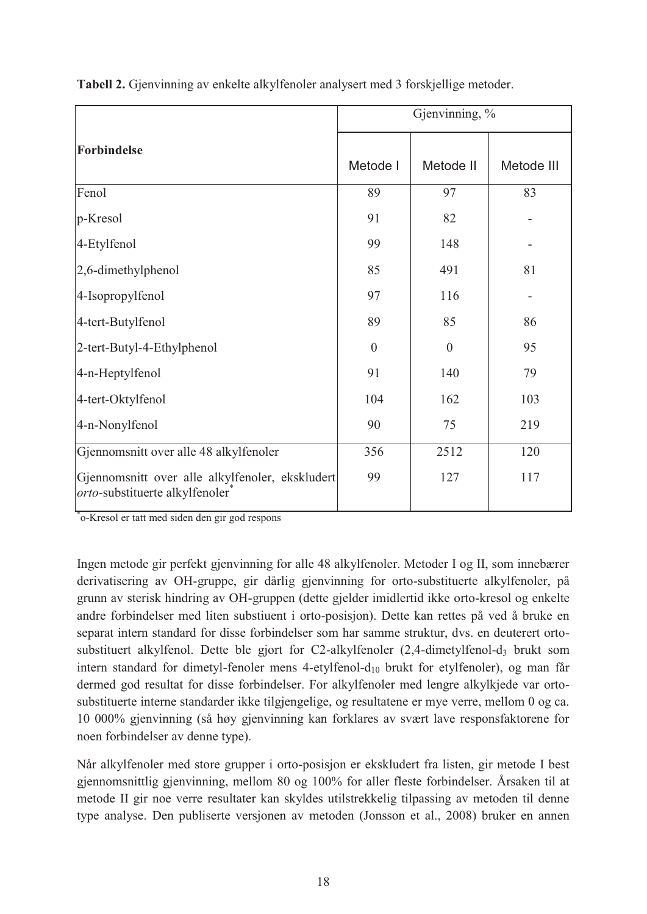|                                                                                           | Gjenvinning, % |           |            |  |  |  |  |
|-------------------------------------------------------------------------------------------|----------------|-----------|------------|--|--|--|--|
| <b>Forbindelse</b>                                                                        | Metode I       | Metode II | Metode III |  |  |  |  |
| Fenol                                                                                     | 89             | 97        | 83         |  |  |  |  |
| p-Kresol                                                                                  | 91             | 82        |            |  |  |  |  |
| 4-Etylfenol                                                                               | 99             | 148       |            |  |  |  |  |
| 2,6-dimethylphenol                                                                        | 85             | 491       | 81         |  |  |  |  |
| 4-Isopropylfenol                                                                          | 97             | 116       |            |  |  |  |  |
| 4-tert-Butylfenol                                                                         | 89             | 85        | 86         |  |  |  |  |
| 2-tert-Butyl-4-Ethylphenol                                                                | $\theta$       | $\theta$  | 95         |  |  |  |  |
| 4-n-Heptylfenol                                                                           | 91             | 140       | 79         |  |  |  |  |
| 4-tert-Oktylfenol                                                                         | 104            | 162       | 103        |  |  |  |  |
| 4-n-Nonylfenol                                                                            | 90             | 75        | 219        |  |  |  |  |
| Gjennomsnitt over alle 48 alkylfenoler                                                    | 356            | 2512      | 120        |  |  |  |  |
| Gjennomsnitt over alle alkylfenoler, ekskludert<br><i>orto</i> -substituerte alkylfenoler | 99             | 127       | 117        |  |  |  |  |

**Tabell 2.** Gjenvinning av enkelte alkylfenoler analysert med 3 forskjellige metoder.

\* o-Kresol er tatt med siden den gir god respons

Ingen metode gir perfekt gjenvinning for alle 48 alkylfenoler. Metoder I og II, som innebærer derivatisering av OH-gruppe, gir dårlig gjenvinning for orto-substituerte alkylfenoler, på grunn av sterisk hindring av OH-gruppen (dette gjelder imidlertid ikke orto-kresol og enkelte andre forbindelser med liten substiuent i orto-posisjon). Dette kan rettes på ved å bruke en separat intern standard for disse forbindelser som har samme struktur, dvs. en deuterert ortosubstituert alkylfenol. Dette ble gjort for C2-alkylfenoler (2,4-dimetylfenol-d<sub>3</sub> brukt som intern standard for dimetyl-fenoler mens 4-etylfenol- $d_{10}$  brukt for etylfenoler), og man får dermed god resultat for disse forbindelser. For alkylfenoler med lengre alkylkjede var ortosubstituerte interne standarder ikke tilgjengelige, og resultatene er mye verre, mellom 0 og ca. 10 000% gjenvinning (så høy gjenvinning kan forklares av svært lave responsfaktorene for noen forbindelser av denne type).

Når alkylfenoler med store grupper i orto-posisjon er ekskludert fra listen, gir metode I best gjennomsnittlig gjenvinning, mellom 80 og 100% for aller fleste forbindelser. Årsaken til at metode II gir noe verre resultater kan skyldes utilstrekkelig tilpassing av metoden til denne type analyse. Den publiserte versjonen av metoden (Jonsson et al., 2008) bruker en annen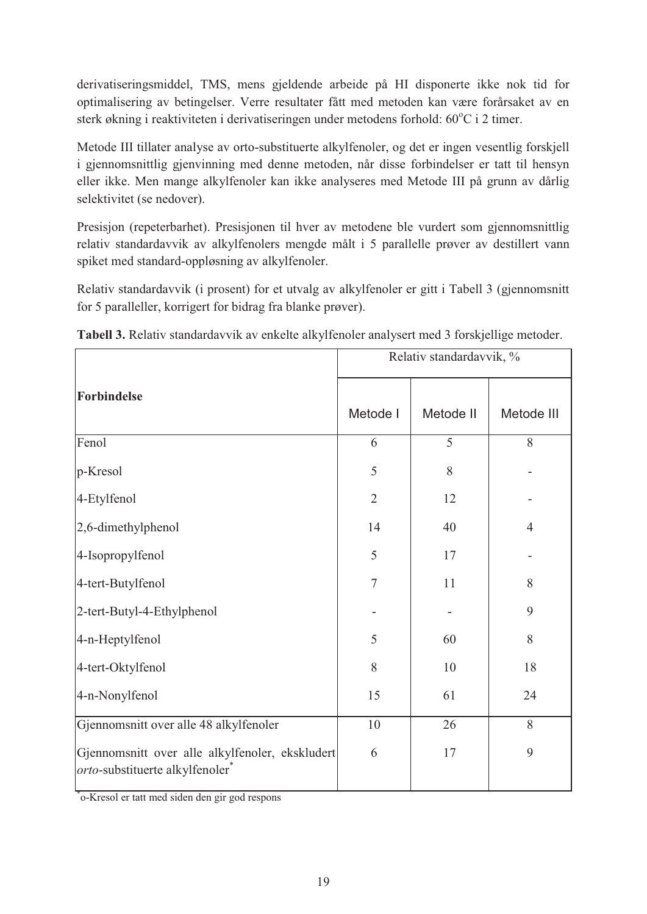derivatiseringsmiddel, TMS, mens gjeldende arbeide på HI disponerte ikke nok tid for optimalisering av betingelser. Verre resultater fått med metoden kan være forårsaket av en sterk økning i reaktiviteten i derivatiseringen under metodens forhold: 60°C i 2 timer.

Metode III tillater analyse av orto-substituerte alkylfenoler, og det er ingen vesentlig forskjell i gjennomsnittlig gjenvinning med denne metoden, når disse forbindelser er tatt til hensyn eller ikke. Men mange alkylfenoler kan ikke analyseres med Metode III på grunn av dårlig selektivitet (se nedover).

Presisjon (repeterbarhet). Presisjonen til hver av metodene ble vurdert som gjennomsnittlig relativ standardavvik av alkylfenolers mengde målt i 5 parallelle prøver av destillert vann spiket med standard-oppløsning av alkylfenoler.

Relativ standardavvik (i prosent) for et utvalg av alkylfenoler er gitt i Tabell 3 (gjennomsnitt for 5 paralleller, korrigert for bidrag fra blanke prøver).

|                                                                                                | Relativ standardavvik, % |           |                |  |  |  |  |
|------------------------------------------------------------------------------------------------|--------------------------|-----------|----------------|--|--|--|--|
| Forbindelse                                                                                    | Metode I                 | Metode II | Metode III     |  |  |  |  |
| Fenol                                                                                          | 6                        | 5         | 8              |  |  |  |  |
| p-Kresol                                                                                       | 5                        | 8         |                |  |  |  |  |
| 4-Etylfenol                                                                                    | $\overline{2}$           | 12        |                |  |  |  |  |
| 2,6-dimethylphenol                                                                             | 14                       | 40        | $\overline{4}$ |  |  |  |  |
| 4-Isopropylfenol                                                                               | 5                        | 17        |                |  |  |  |  |
| 4-tert-Butylfenol                                                                              | $\overline{7}$           | 11        | 8              |  |  |  |  |
| 2-tert-Butyl-4-Ethylphenol                                                                     |                          |           | 9              |  |  |  |  |
| 4-n-Heptylfenol                                                                                | 5                        | 60        | 8              |  |  |  |  |
| 4-tert-Oktylfenol                                                                              | 8                        | 10        | 18             |  |  |  |  |
| 4-n-Nonylfenol                                                                                 | 15                       | 61        | 24             |  |  |  |  |
| Gjennomsnitt over alle 48 alkylfenoler                                                         | 10                       | 26        | 8              |  |  |  |  |
| Gjennomsnitt over alle alkylfenoler, ekskludert<br>orto-substituerte alkylfenoler <sup>*</sup> | 6                        | 17        | 9              |  |  |  |  |

**Tabell 3.** Relativ standardavvik av enkelte alkylfenoler analysert med 3 forskjellige metoder.

\* o-Kresol er tatt med siden den gir god respons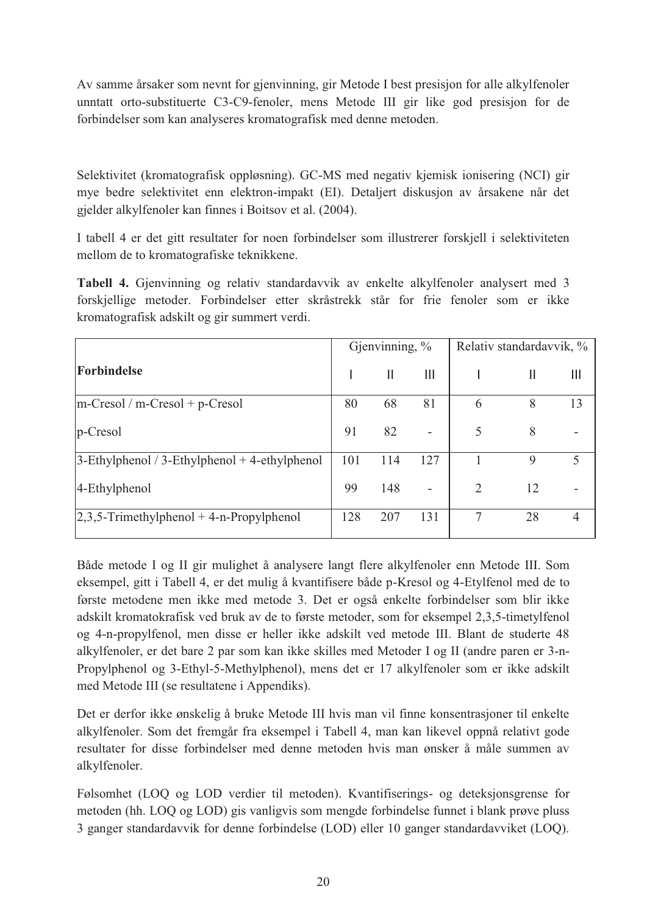Av samme årsaker som nevnt for gjenvinning, gir Metode I best presisjon for alle alkylfenoler unntatt orto-substituerte C3-C9-fenoler, mens Metode III gir like god presisjon for de forbindelser som kan analyseres kromatografisk med denne metoden.

Selektivitet (kromatografisk oppløsning). GC-MS med negativ kjemisk ionisering (NCI) gir mye bedre selektivitet enn elektron-impakt (EI). Detaljert diskusjon av årsakene når det gjelder alkylfenoler kan finnes i Boitsov et al. (2004).

I tabell 4 er det gitt resultater for noen forbindelser som illustrerer forskjell i selektiviteten mellom de to kromatografiske teknikkene.

**Tabell 4.** Gjenvinning og relativ standardavvik av enkelte alkylfenoler analysert med 3 forskjellige metoder. Forbindelser etter skråstrekk står for frie fenoler som er ikke kromatografisk adskilt og gir summert verdi.

|                                                  |     | Gjenvinning, $\%$ |                          | Relativ standardavvik, % |              |                |  |
|--------------------------------------------------|-----|-------------------|--------------------------|--------------------------|--------------|----------------|--|
| Forbindelse                                      |     | $\mathbf{I}$      | $\mathbf{III}$           |                          | $\mathbb{I}$ | Ш              |  |
| $m-Cresol/m-Cresol + p-Cresol$                   | 80  | 68                | 81                       | 6                        | 8            | 13             |  |
| $p$ -Cresol                                      | 91  | 82                |                          | 5                        | 8            |                |  |
| $3$ -Ethylphenol / 3-Ethylphenol + 4-ethylphenol | 101 | 114               | 127                      |                          | 9            | 5              |  |
| 4-Ethylphenol                                    | 99  | 148               | $\overline{\phantom{a}}$ | $\overline{2}$           | 12           |                |  |
| $ 2,3,5-Trimethylphenol + 4-n-Propylphenol$      | 128 | 207               | 131                      | 7                        | 28           | $\overline{4}$ |  |

Både metode I og II gir mulighet å analysere langt flere alkylfenoler enn Metode III. Som eksempel, gitt i Tabell 4, er det mulig å kvantifisere både p-Kresol og 4-Etylfenol med de to første metodene men ikke med metode 3. Det er også enkelte forbindelser som blir ikke adskilt kromatokrafisk ved bruk av de to første metoder, som for eksempel 2,3,5-timetylfenol og 4-n-propylfenol, men disse er heller ikke adskilt ved metode III. Blant de studerte 48 alkylfenoler, er det bare 2 par som kan ikke skilles med Metoder I og II (andre paren er 3-n-Propylphenol og 3-Ethyl-5-Methylphenol), mens det er 17 alkylfenoler som er ikke adskilt med Metode III (se resultatene i Appendiks).

Det er derfor ikke ønskelig å bruke Metode III hvis man vil finne konsentrasjoner til enkelte alkylfenoler. Som det fremgår fra eksempel i Tabell 4, man kan likevel oppnå relativt gode resultater for disse forbindelser med denne metoden hvis man ønsker å måle summen av alkylfenoler.

Følsomhet (LOQ og LOD verdier til metoden). Kvantifiserings- og deteksjonsgrense for metoden (hh. LOQ og LOD) gis vanligvis som mengde forbindelse funnet i blank prøve pluss 3 ganger standardavvik for denne forbindelse (LOD) eller 10 ganger standardavviket (LOQ).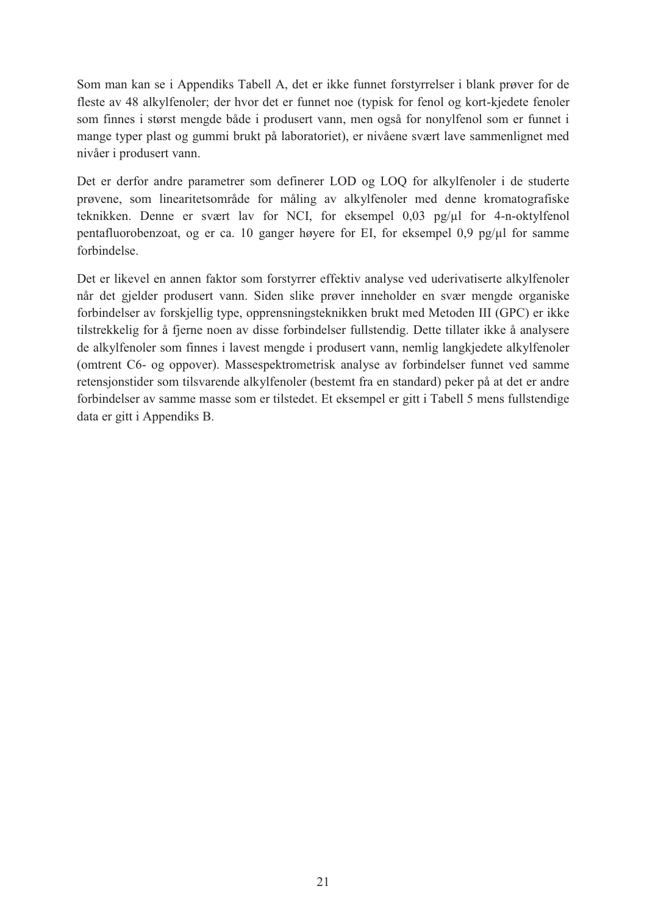Som man kan se i Appendiks Tabell A, det er ikke funnet forstyrrelser i blank prøver for de fleste av 48 alkylfenoler; der hvor det er funnet noe (typisk for fenol og kort-kjedete fenoler som finnes i størst mengde både i produsert vann, men også for nonylfenol som er funnet i mange typer plast og gummi brukt på laboratoriet), er nivåene svært lave sammenlignet med nivåer i produsert vann.

Det er derfor andre parametrer som definerer LOD og LOQ for alkylfenoler i de studerte prøvene, som linearitetsområde for måling av alkylfenoler med denne kromatografiske teknikken. Denne er svært lav for NCI, for eksempel 0,03 pg/µl for 4-n-oktylfenol pentafluorobenzoat, og er ca. 10 ganger høyere for EI, for eksempel 0,9 pg/µl for samme forbindelse.

Det er likevel en annen faktor som forstyrrer effektiv analyse ved uderivatiserte alkylfenoler når det gjelder produsert vann. Siden slike prøver inneholder en svær mengde organiske forbindelser av forskjellig type, opprensningsteknikken brukt med Metoden III (GPC) er ikke tilstrekkelig for å fjerne noen av disse forbindelser fullstendig. Dette tillater ikke å analysere de alkylfenoler som finnes i lavest mengde i produsert vann, nemlig langkjedete alkylfenoler (omtrent C6- og oppover). Massespektrometrisk analyse av forbindelser funnet ved samme retensjonstider som tilsvarende alkylfenoler (bestemt fra en standard) peker på at det er andre forbindelser av samme masse som er tilstedet. Et eksempel er gitt i Tabell 5 mens fullstendige data er gitt i Appendiks B.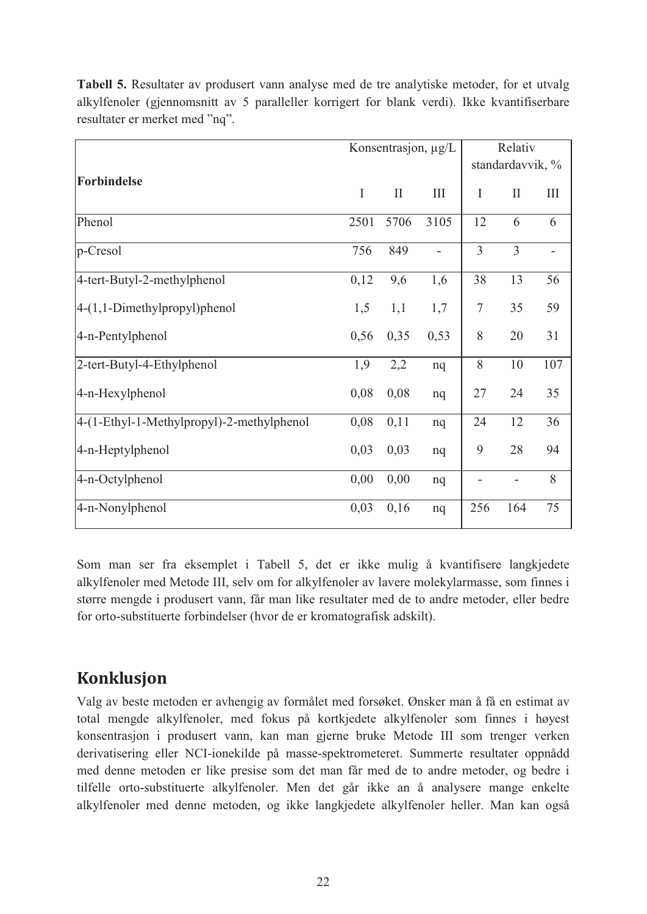|                                           |             |              | Konsentrasjon, µg/L | Relativ |                  |           |  |
|-------------------------------------------|-------------|--------------|---------------------|---------|------------------|-----------|--|
|                                           |             |              |                     |         | standardavvik, % |           |  |
| <b>Forbindelse</b>                        | $\mathbf I$ | $\mathbf{I}$ | Ш                   | I       | $\mathbf{I}$     | $\rm III$ |  |
| Phenol                                    | 2501        | 5706         | 3105                | 12      | 6                | 6         |  |
| p-Cresol                                  | 756         | 849          | $\overline{a}$      | 3       | 3                |           |  |
| 4-tert-Butyl-2-methylphenol               | 0,12        | 9,6          | 1,6                 | 38      | 13               | 56        |  |
| 4-(1,1-Dimethylpropyl)phenol              | 1,5         | 1,1          | 1,7                 | $\tau$  | 35               | 59        |  |
| 4-n-Pentylphenol                          | 0,56        | 0,35         | 0,53                | 8       | 20               | 31        |  |
| 2-tert-Butyl-4-Ethylphenol                | 1,9         | 2,2          | nq                  | 8       | 10               | 107       |  |
| 4-n-Hexylphenol                           | 0,08        | 0,08         | nq                  | 27      | 24               | 35        |  |
| 4-(1-Ethyl-1-Methylpropyl)-2-methylphenol | 0,08        | 0,11         | nq                  | 24      | 12               | 36        |  |
| 4-n-Heptylphenol                          | 0,03        | 0,03         | nq                  | 9       | 28               | 94        |  |
| 4-n-Octylphenol                           | 0,00        | 0,00         | nq                  |         |                  | 8         |  |
| 4-n-Nonylphenol                           | 0,03        | 0,16         | nq                  | 256     | 164              | 75        |  |

**Tabell 5.** Resultater av produsert vann analyse med de tre analytiske metoder, for et utvalg alkylfenoler (gjennomsnitt av 5 paralleller korrigert for blank verdi). Ikke kvantifiserbare resultater er merket med "nq".

Som man ser fra eksemplet i Tabell 5, det er ikke mulig å kvantifisere langkjedete alkylfenoler med Metode III, selv om for alkylfenoler av lavere molekylarmasse, som finnes i større mengde i produsert vann, får man like resultater med de to andre metoder, eller bedre for orto-substituerte forbindelser (hvor de er kromatografisk adskilt).

# **Konklusjon**

Valg av beste metoden er avhengig av formålet med forsøket. Ønsker man å få en estimat av total mengde alkylfenoler, med fokus på kortkjedete alkylfenoler som finnes i høyest konsentrasjon i produsert vann, kan man gjerne bruke Metode III som trenger verken derivatisering eller NCI-ionekilde på masse-spektrometeret. Summerte resultater oppnådd med denne metoden er like presise som det man får med de to andre metoder, og bedre i tilfelle orto-substituerte alkylfenoler. Men det går ikke an å analysere mange enkelte alkylfenoler med denne metoden, og ikke langkjedete alkylfenoler heller. Man kan også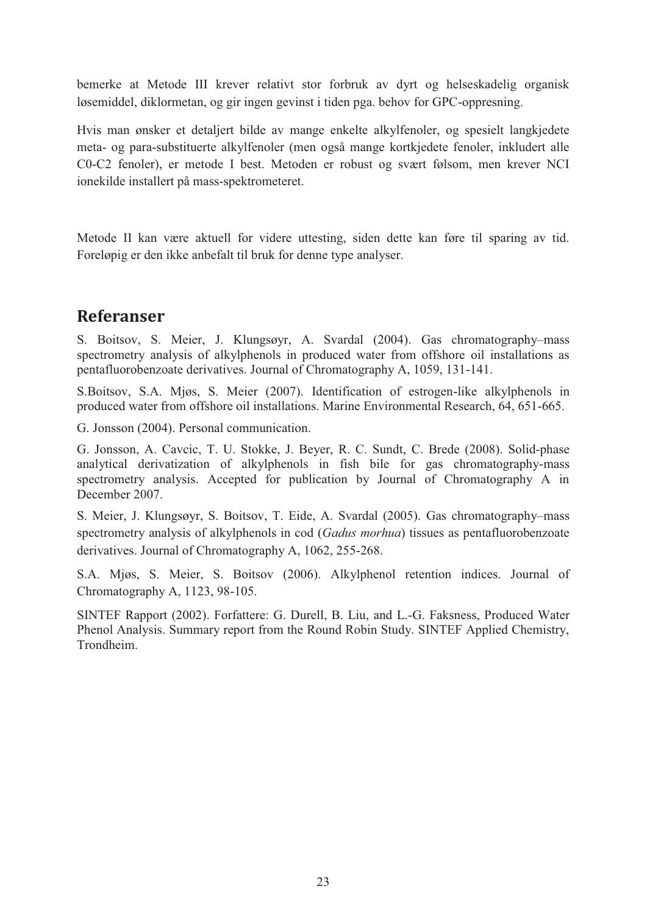bemerke at Metode III krever relativt stor forbruk av dyrt og helseskadelig organisk løsemiddel, diklormetan, og gir ingen gevinst i tiden pga. behov for GPC-oppresning.

Hvis man ønsker et detaljert bilde av mange enkelte alkylfenoler, og spesielt langkjedete meta- og para-substituerte alkylfenoler (men også mange kortkjedete fenoler, inkludert alle C0-C2 fenoler), er metode I best. Metoden er robust og svært følsom, men krever NCI ionekilde installert på mass-spektrometeret.

Metode II kan være aktuell for videre uttesting, siden dette kan føre til sparing av tid. Foreløpig er den ikke anbefalt til bruk for denne type analyser.

# **Referanser**

S. Boitsov, S. Meier, J. Klungsøyr, A. Svardal (2004). Gas chromatography–mass spectrometry analysis of alkylphenols in produced water from offshore oil installations as pentafluorobenzoate derivatives. Journal of Chromatography A, 1059, 131-141.

S.Boitsov, S.A. Mjøs, S. Meier (2007). Identification of estrogen-like alkylphenols in produced water from offshore oil installations. Marine Environmental Research, 64, 651-665.

G. Jonsson (2004). Personal communication.

G. Jonsson, A. Cavcic, T. U. Stokke, J. Beyer, R. C. Sundt, C. Brede (2008). Solid-phase analytical derivatization of alkylphenols in fish bile for gas chromatography-mass spectrometry analysis. Accepted for publication by Journal of Chromatography A in December 2007.

S. Meier, J. Klungsøyr, S. Boitsov, T. Eide, A. Svardal (2005). Gas chromatography–mass spectrometry analysis of alkylphenols in cod (*Gadus morhua*) tissues as pentafluorobenzoate derivatives. Journal of Chromatography A, 1062, 255-268.

S.A. Mjøs, S. Meier, S. Boitsov (2006). Alkylphenol retention indices. Journal of Chromatography A, 1123, 98-105.

SINTEF Rapport (2002). Forfattere: G. Durell, B. Liu, and L.-G. Faksness, Produced Water Phenol Analysis. Summary report from the Round Robin Study. SINTEF Applied Chemistry, Trondheim.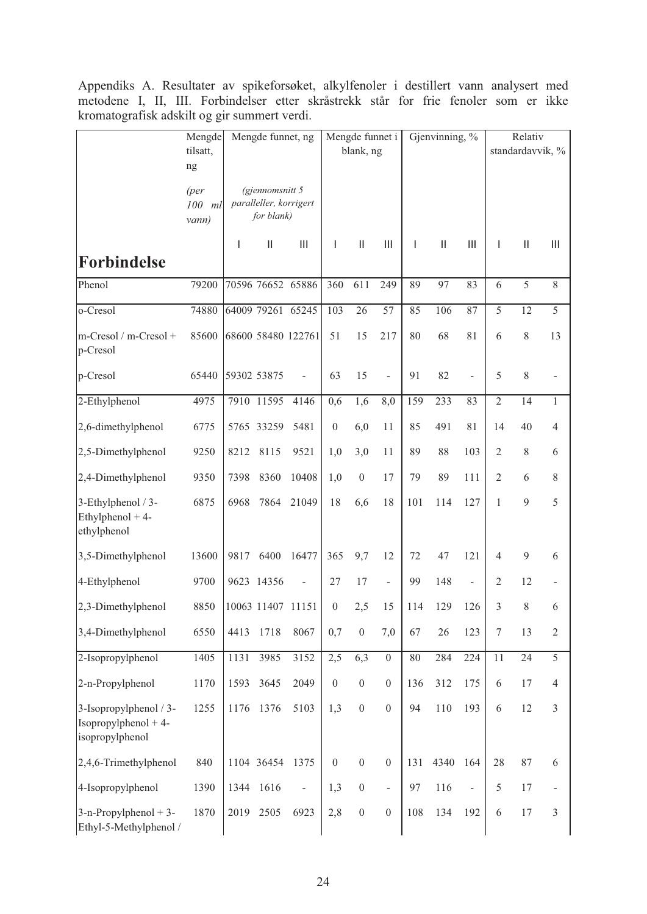Appendiks A. Resultater av spikeforsøket, alkylfenoler i destillert vann analysert med metodene I, II, III. Forbindelser etter skråstrekk står for frie fenoler som er ikke kromatografisk adskilt og gir summert verdi.

|                                                                     | Mengde<br>tilsatt,<br>ng |             | Mengde funnet, ng                                       |                                       |                  | Mengde funnet i<br>blank, ng |                          |        | Gjenvinning, % |                          |                | Relativ<br>standardavvik, % |                                    |
|---------------------------------------------------------------------|--------------------------|-------------|---------------------------------------------------------|---------------------------------------|------------------|------------------------------|--------------------------|--------|----------------|--------------------------|----------------|-----------------------------|------------------------------------|
|                                                                     | (per<br>100 ml<br>vann)  |             | (gjennomsnitt 5<br>paralleller, korrigert<br>for blank) |                                       |                  |                              |                          |        |                |                          |                |                             |                                    |
| <b>Forbindelse</b>                                                  |                          | T           | $\begin{array}{c} \hline \end{array}$                   | $\begin{array}{c} \hline \end{array}$ | $\overline{1}$   | $\vert\vert$                 | Ш                        | T      | $\vert\vert$   | Ш                        | $\mathbf{I}$   | $\mathbf{  }$               | $\begin{array}{c} \Pi \end{array}$ |
| Phenol                                                              | 79200                    |             |                                                         | 70596 76652 65886                     | 360              | 611                          | 249                      | 89     | 97             | 83                       | 6              | 5                           | $\,$ 8 $\,$                        |
| o-Cresol                                                            | 74880                    |             |                                                         | 64009 79261 65245                     | 103              | 26                           | 57                       | 85     | 106            | 87                       | 5              | 12                          | 5                                  |
| m-Cresol / m-Cresol +<br>p-Cresol                                   | 85600                    |             |                                                         | 68600 58480 122761                    | 51               | 15                           | 217                      | 80     | 68             | 81                       | 6              | $\,$ 8 $\,$                 | 13                                 |
| p-Cresol                                                            | 65440                    | 59302 53875 |                                                         | $\blacksquare$                        | 63               | 15                           | $\overline{\phantom{a}}$ | 91     | 82             | $\overline{\phantom{a}}$ | 5              | $\,$ 8 $\,$                 | -                                  |
| 2-Ethylphenol                                                       | 4975                     |             | 7910 11595                                              | 4146                                  | 0,6              | 1,6                          | 8,0                      | 159    | 233            | 83                       | $\overline{2}$ | 14                          | $\mathbf{1}$                       |
| 2,6-dimethylphenol                                                  | 6775                     |             | 5765 33259                                              | 5481                                  | $\boldsymbol{0}$ | 6,0                          | 11                       | 85     | 491            | 81                       | 14             | 40                          | $\overline{4}$                     |
| 2,5-Dimethylphenol                                                  | 9250                     | 8212        | 8115                                                    | 9521                                  | 1,0              | 3,0                          | 11                       | 89     | 88             | 103                      | $\overline{2}$ | $\,$ 8 $\,$                 | 6                                  |
| 2,4-Dimethylphenol                                                  | 9350                     | 7398        | 8360                                                    | 10408                                 | 1,0              | $\boldsymbol{0}$             | 17                       | 79     | 89             | 111                      | $\mathfrak{2}$ | 6                           | $\,$ 8 $\,$                        |
| 3-Ethylphenol / 3-<br>Ethylphenol $+4$ -<br>ethylphenol             | 6875                     | 6968        | 7864                                                    | 21049                                 | 18               | 6,6                          | 18                       | 101    | 114            | 127                      | 1              | $\overline{9}$              | 5                                  |
| 3,5-Dimethylphenol                                                  | 13600                    | 9817        | 6400                                                    | 16477                                 | 365              | 9,7                          | 12                       | 72     | 47             | 121                      | $\overline{4}$ | $\mathbf{9}$                | 6                                  |
| 4-Ethylphenol                                                       | 9700                     |             | 9623 14356                                              | $\overline{a}$                        | 27               | 17                           | $\bar{\phantom{a}}$      | 99     | 148            | $\overline{\phantom{a}}$ | $\mathfrak{2}$ | 12                          | $\overline{\phantom{0}}$           |
| 2,3-Dimethylphenol                                                  | 8850                     |             | 10063 11407 11151                                       |                                       | $\boldsymbol{0}$ | 2,5                          | 15                       | 114    | 129            | 126                      | 3              | $\,$ 8 $\,$                 | 6                                  |
| 3,4-Dimethylphenol                                                  | 6550                     | 4413        | 1718                                                    | 8067                                  | 0,7              | $\boldsymbol{0}$             | 7,0                      | 67     | 26             | 123                      | $\tau$         | 13                          | $\mathfrak{2}$                     |
| 2-Isopropylphenol                                                   | 1405                     | 1131        | 3985                                                    | 3152                                  | 2,5              | 6,3                          | $\boldsymbol{0}$         | $80\,$ | 284            | 224                      | 11             | 24                          | 5                                  |
| 2-n-Propylphenol                                                    | 1170                     | 1593        | 3645                                                    | 2049                                  | $\boldsymbol{0}$ | $\boldsymbol{0}$             | $\boldsymbol{0}$         | 136    | 312            | 175                      | 6              | 17                          | 4                                  |
| 3-Isopropylphenol / 3-<br>$Isopropylphenol + 4-$<br>isopropylphenol | 1255                     | 1176        | 1376                                                    | 5103                                  | 1,3              | $\boldsymbol{0}$             | $\overline{0}$           | 94     | 110            | 193                      | 6              | 12                          | $\mathfrak{Z}$                     |
| 2,4,6-Trimethylphenol                                               | 840                      |             | 1104 36454                                              | 1375                                  | $\boldsymbol{0}$ | $\boldsymbol{0}$             | $\boldsymbol{0}$         | 131    | 4340           | 164                      | 28             | 87                          | $\sqrt{6}$                         |
| 4-Isopropylphenol                                                   | 1390                     | 1344        | 1616                                                    | $\blacksquare$                        | 1,3              | $\boldsymbol{0}$             | $\blacksquare$           | 97     | 116            | $\Box$                   | $\sqrt{5}$     | 17                          | $\overline{\phantom{m}}$           |
| $3-n$ -Propylphenol + 3-<br>Ethyl-5-Methylphenol /                  | 1870                     | 2019        | 2505                                                    | 6923                                  | 2,8              | $\boldsymbol{0}$             | $\boldsymbol{0}$         | 108    | 134            | 192                      | 6              | 17                          | $\mathfrak{Z}$                     |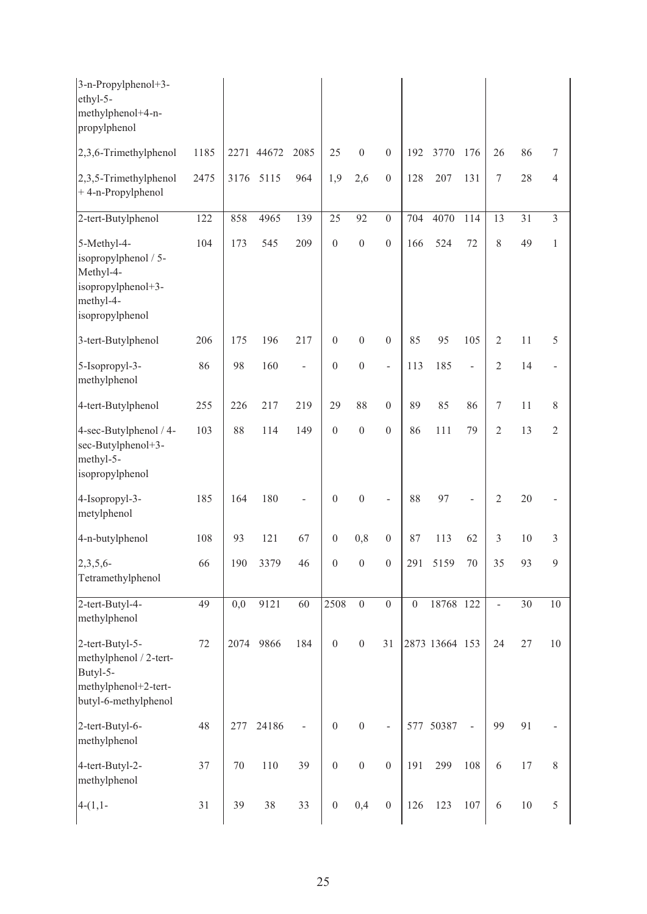| 3-n-Propylphenol+3-<br>ethyl-5-<br>methylphenol+4-n-<br>propylphenol                                   |      |        |            |                          |                  |                  |                  |                  |                |                |                          |        |                |
|--------------------------------------------------------------------------------------------------------|------|--------|------------|--------------------------|------------------|------------------|------------------|------------------|----------------|----------------|--------------------------|--------|----------------|
| 2,3,6-Trimethylphenol                                                                                  | 1185 |        | 2271 44672 | 2085                     | 25               | $\boldsymbol{0}$ | $\boldsymbol{0}$ | 192              | 3770           | 176            | 26                       | 86     | 7              |
| 2,3,5-Trimethylphenol<br>+4-n-Propylphenol                                                             | 2475 | 3176   | 5115       | 964                      | 1,9              | 2,6              | $\boldsymbol{0}$ | 128              | 207            | 131            | $\boldsymbol{7}$         | 28     | $\overline{4}$ |
| 2-tert-Butylphenol                                                                                     | 122  | 858    | 4965       | 139                      | 25               | 92               | $\mathbf{0}$     | 704              | 4070           | 114            | 13                       | 31     | $\mathfrak{Z}$ |
| 5-Methyl-4-<br>isopropylphenol / 5-<br>Methyl-4-<br>isopropylphenol+3-<br>methyl-4-<br>isopropylphenol | 104  | 173    | 545        | 209                      | $\boldsymbol{0}$ | $\boldsymbol{0}$ | $\boldsymbol{0}$ | 166              | 524            | 72             | $\,$ $\,$                | 49     | $\mathbf{1}$   |
| 3-tert-Butylphenol                                                                                     | 206  | 175    | 196        | 217                      | $\boldsymbol{0}$ | $\boldsymbol{0}$ | $\boldsymbol{0}$ | 85               | 95             | 105            | $\mathfrak{2}$           | 11     | 5              |
| 5-Isopropyl-3-<br>methylphenol                                                                         | 86   | 98     | 160        | $\overline{\phantom{a}}$ | $\boldsymbol{0}$ | $\boldsymbol{0}$ | $\overline{a}$   | 113              | 185            | ÷,             | $\overline{2}$           | 14     | $\blacksquare$ |
| 4-tert-Butylphenol                                                                                     | 255  | 226    | 217        | 219                      | 29               | 88               | $\boldsymbol{0}$ | 89               | 85             | 86             | $\boldsymbol{7}$         | 11     | $\,$ 8 $\,$    |
| 4-sec-Butylphenol / 4-<br>sec-Butylphenol+3-<br>methyl-5-<br>isopropylphenol                           | 103  | 88     | 114        | 149                      | $\boldsymbol{0}$ | $\boldsymbol{0}$ | $\boldsymbol{0}$ | 86               | 111            | 79             | $\overline{2}$           | 13     | $\overline{2}$ |
| 4-Isopropyl-3-<br>metylphenol                                                                          | 185  | 164    | 180        |                          | $\boldsymbol{0}$ | $\boldsymbol{0}$ |                  | 88               | 97             | $\overline{a}$ | $\mathfrak{2}$           | 20     |                |
| 4-n-butylphenol                                                                                        | 108  | 93     | 121        | 67                       | $\boldsymbol{0}$ | 0,8              | $\boldsymbol{0}$ | 87               | 113            | 62             | 3                        | 10     | 3              |
| $2,3,5,6$ -<br>Tetramethylphenol                                                                       | 66   | 190    | 3379       | 46                       | $\boldsymbol{0}$ | $\boldsymbol{0}$ | $\boldsymbol{0}$ |                  | 291 5159       | $70\,$         | 35                       | 93     | $\overline{9}$ |
| 2-tert-Butyl-4-<br>methylphenol                                                                        | 49   | 0,0    | 9121       | 60                       | 2508             | $\boldsymbol{0}$ | $\boldsymbol{0}$ | $\boldsymbol{0}$ | 18768 122      |                | $\overline{\phantom{a}}$ | 30     | 10             |
| 2-tert-Butyl-5-<br>methylphenol / 2-tert-<br>Butyl-5-<br>methylphenol+2-tert-<br>butyl-6-methylphenol  | 72   |        | 2074 9866  | 184                      | $\boldsymbol{0}$ | $\boldsymbol{0}$ | 31               |                  | 2873 13664 153 |                | 24                       | 27     | $10\,$         |
| 2-tert-Butyl-6-<br>methylphenol                                                                        | 48   | 277    | 24186      |                          | $\boldsymbol{0}$ | $\boldsymbol{0}$ |                  |                  | 577 50387      | $\blacksquare$ | 99                       | 91     |                |
| 4-tert-Butyl-2-<br>methylphenol                                                                        | 37   | $70\,$ | $110\,$    | 39                       | $\boldsymbol{0}$ | $\boldsymbol{0}$ | $\boldsymbol{0}$ | 191              | 299            | 108            | $\sqrt{6}$               | $17$   | $8\,$          |
| $4-(1,1-$                                                                                              | 31   | 39     | 38         | 33                       | $\boldsymbol{0}$ | 0,4              | $\boldsymbol{0}$ | 126              | 123            | $107\,$        | 6                        | $10\,$ | 5              |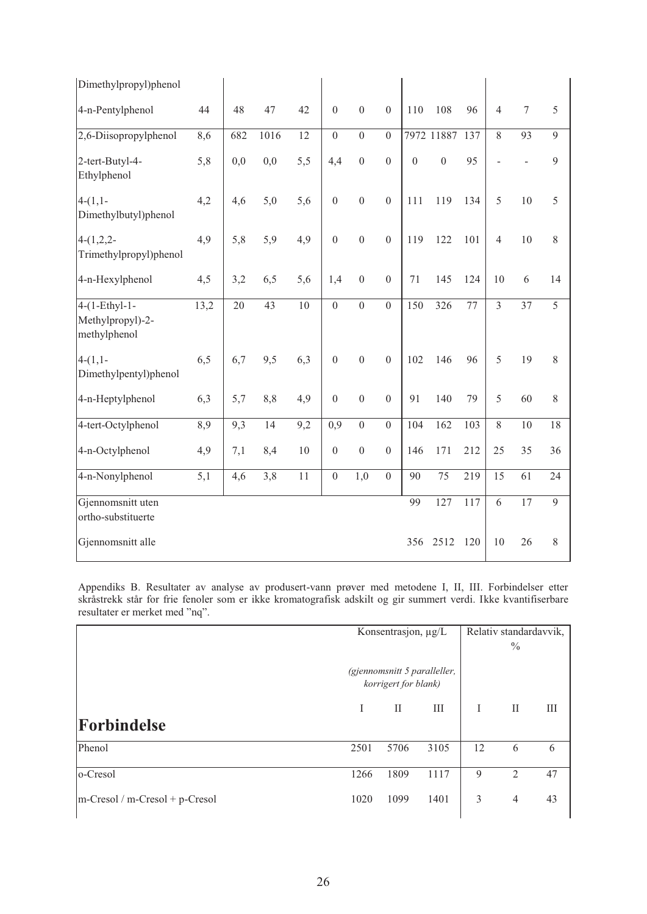| Dimethylpropyl)phenol                               |      |     |      |        |                  |                  |                  |                |                 |     |                |                  |                |
|-----------------------------------------------------|------|-----|------|--------|------------------|------------------|------------------|----------------|-----------------|-----|----------------|------------------|----------------|
| 4-n-Pentylphenol                                    | 44   | 48  | 47   | 42     | $\mathbf{0}$     | $\mathbf{0}$     | $\overline{0}$   | 110            | 108             | 96  | $\overline{4}$ | $\boldsymbol{7}$ | 5              |
| 2,6-Diisopropylphenol                               | 8,6  | 682 | 1016 | 12     | $\overline{0}$   | $\overline{0}$   | $\Omega$         |                | 7972 11887      | 137 | $\overline{8}$ | 93               | 9              |
| 2-tert-Butyl-4-<br>Ethylphenol                      | 5,8  | 0,0 | 0,0  | 5,5    | 4,4              | $\mathbf{0}$     | $\overline{0}$   | $\overline{0}$ | $\overline{0}$  | 95  |                | $\overline{a}$   | $\overline{9}$ |
| $4-(1,1-$<br>Dimethylbutyl)phenol                   | 4,2  | 4,6 | 5,0  | 5,6    | $\boldsymbol{0}$ | $\boldsymbol{0}$ | $\mathbf{0}$     | 111            | 119             | 134 | 5              | 10               | 5              |
| $4-(1,2,2-$<br>Trimethylpropyl)phenol               | 4,9  | 5,8 | 5,9  | 4,9    | $\boldsymbol{0}$ | $\mathbf{0}$     | $\boldsymbol{0}$ | 119            | 122             | 101 | $\overline{4}$ | 10               | $\,8\,$        |
| 4-n-Hexylphenol                                     | 4,5  | 3,2 | 6,5  | 5,6    | 1,4              | $\boldsymbol{0}$ | $\boldsymbol{0}$ | 71             | 145             | 124 | 10             | 6                | 14             |
| $4-(1-Ethyl-1-$<br>Methylpropyl)-2-<br>methylphenol | 13,2 | 20  | 43   | 10     | $\boldsymbol{0}$ | $\boldsymbol{0}$ | $\boldsymbol{0}$ | 150            | 326             | 77  | $\overline{3}$ | 37               | $\overline{5}$ |
| $4-(1,1-$<br>Dimethylpentyl)phenol                  | 6,5  | 6,7 | 9,5  | 6,3    | $\boldsymbol{0}$ | $\boldsymbol{0}$ | $\mathbf{0}$     | 102            | 146             | 96  | 5              | 19               | $\,8\,$        |
| 4-n-Heptylphenol                                    | 6,3  | 5,7 | 8,8  | 4,9    | $\mathbf{0}$     | $\mathbf{0}$     | $\overline{0}$   | 91             | 140             | 79  | 5              | 60               | $8\,$          |
| 4-tert-Octylphenol                                  | 8,9  | 9,3 | 14   | 9,2    | 0,9              | $\mathbf{0}$     | $\boldsymbol{0}$ | 104            | 162             | 103 | $\overline{8}$ | $10\,$           | 18             |
| 4-n-Octylphenol                                     | 4,9  | 7,1 | 8,4  | 10     | $\boldsymbol{0}$ | $\boldsymbol{0}$ | $\boldsymbol{0}$ | 146            | 171             | 212 | 25             | 35               | 36             |
| 4-n-Nonylphenol                                     | 5,1  | 4,6 | 3,8  | $1\,1$ | $\boldsymbol{0}$ | 1,0              | $\mathbf{0}$     | 90             | $\overline{75}$ | 219 | 15             | 61               | 24             |
| Gjennomsnitt uten<br>ortho-substituerte             |      |     |      |        |                  |                  |                  | 99             | 127             | 117 | 6              | 17               | 9              |
| Gjennomsnitt alle                                   |      |     |      |        |                  |                  |                  | 356            | 2512            | 120 | 10             | 26               | $\,8\,$        |

Appendiks B. Resultater av analyse av produsert-vann prøver med metodene I, II, III. Forbindelser etter skråstrekk står for frie fenoler som er ikke kromatografisk adskilt og gir summert verdi. Ikke kvantifiserbare resultater er merket med "nq".

|                                |                                                      | Konsentrasjon, µg/L |      | Relativ standardavvik, |                |    |  |
|--------------------------------|------------------------------------------------------|---------------------|------|------------------------|----------------|----|--|
|                                |                                                      |                     |      |                        |                |    |  |
|                                | (gjennomsnitt 5 paralleller,<br>korrigert for blank) |                     |      |                        |                |    |  |
|                                | T                                                    | $\mathbf{I}$        | III  | I                      | $\rm{II}$      | Ш  |  |
| <b>Forbindelse</b>             |                                                      |                     |      |                        |                |    |  |
| Phenol                         | 2501                                                 | 5706                | 3105 | 12                     | 6              | 6  |  |
| o-Cresol                       | 1266                                                 | 1809                | 1117 | 9                      | 2              | 47 |  |
| $m-Cresol/m-Cresol + p-Cresol$ | 1020                                                 | 1099                | 1401 | 3                      | $\overline{4}$ | 43 |  |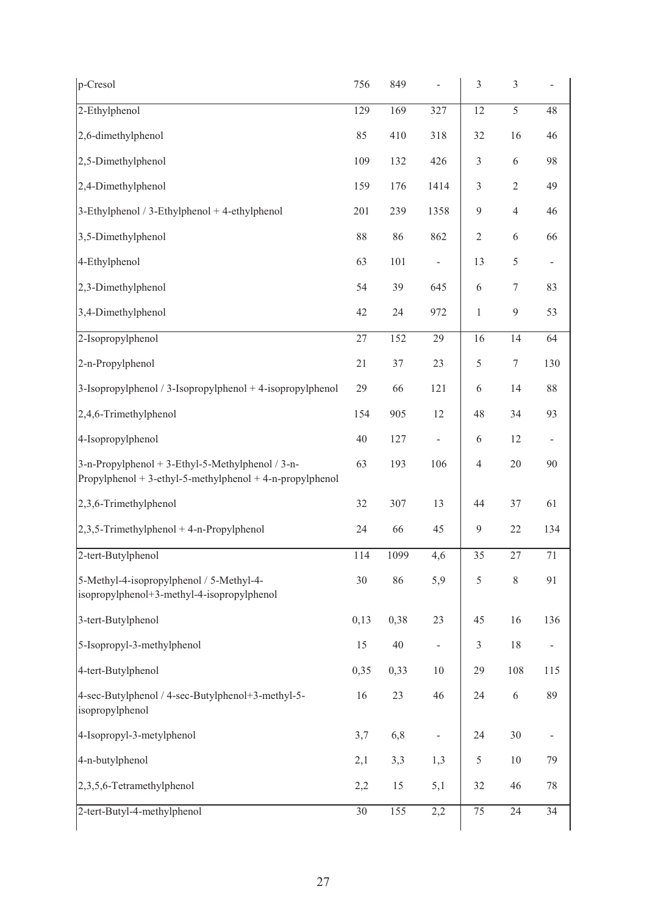| p-Cresol                                                                                                       | 756  | 849  | $\frac{1}{2}$            | $\mathfrak{Z}$ | $\mathfrak{Z}$ | $\overline{\phantom{a}}$ |
|----------------------------------------------------------------------------------------------------------------|------|------|--------------------------|----------------|----------------|--------------------------|
| 2-Ethylphenol                                                                                                  | 129  | 169  | 327                      | 12             | 5              | 48                       |
| 2,6-dimethylphenol                                                                                             | 85   | 410  | 318                      | 32             | 16             | 46                       |
| 2,5-Dimethylphenol                                                                                             | 109  | 132  | 426                      | $\mathfrak{Z}$ | 6              | 98                       |
| 2,4-Dimethylphenol                                                                                             | 159  | 176  | 1414                     | $\mathfrak{Z}$ | $\overline{2}$ | 49                       |
| 3-Ethylphenol / 3-Ethylphenol + 4-ethylphenol                                                                  | 201  | 239  | 1358                     | $\overline{9}$ | $\overline{4}$ | 46                       |
| 3,5-Dimethylphenol                                                                                             | 88   | 86   | 862                      | $\sqrt{2}$     | 6              | 66                       |
| 4-Ethylphenol                                                                                                  | 63   | 101  | $\frac{1}{2}$            | 13             | 5              | $\Box$                   |
| 2,3-Dimethylphenol                                                                                             | 54   | 39   | 645                      | 6              | $\tau$         | 83                       |
| 3,4-Dimethylphenol                                                                                             | 42   | 24   | 972                      | $\mathbf{1}$   | 9              | 53                       |
| 2-Isopropylphenol                                                                                              | 27   | 152  | 29                       | 16             | 14             | 64                       |
| 2-n-Propylphenol                                                                                               | 21   | 37   | 23                       | $\sqrt{5}$     | $\tau$         | 130                      |
| 3-Isopropylphenol / 3-Isopropylphenol + 4-isopropylphenol                                                      | 29   | 66   | 121                      | 6              | 14             | $88\,$                   |
| 2,4,6-Trimethylphenol                                                                                          | 154  | 905  | 12                       | 48             | 34             | 93                       |
| 4-Isopropylphenol                                                                                              | 40   | 127  | ÷,                       | 6              | 12             | $\blacksquare$           |
| 3-n-Propylphenol + 3-Ethyl-5-Methylphenol / 3-n-<br>$Propylphenol + 3-ethyl-5-methylphenol + 4-n-propylphenol$ | 63   | 193  | 106                      | $\overline{4}$ | $20\,$         | 90                       |
| 2,3,6-Trimethylphenol                                                                                          | 32   | 307  | 13                       | 44             | 37             | 61                       |
| $2,3,5$ -Trimethylphenol + 4-n-Propylphenol                                                                    | 24   | 66   | 45                       | $\overline{9}$ | $22\,$         | 134                      |
| 2-tert-Butylphenol                                                                                             | 114  | 1099 | 4,6                      | 35             | 27             | 71                       |
| 5-Methyl-4-isopropylphenol / 5-Methyl-4-<br>isopropylphenol+3-methyl-4-isopropylphenol                         | 30   | 86   | 5,9                      | 5              | $8\,$          | 91                       |
| 3-tert-Butylphenol                                                                                             | 0,13 | 0,38 | 23                       | 45             | 16             | 136                      |
| 5-Isopropyl-3-methylphenol                                                                                     | 15   | 40   | $\overline{\phantom{a}}$ | $\mathfrak{Z}$ | 18             | $\overline{\phantom{a}}$ |
| 4-tert-Butylphenol                                                                                             | 0,35 | 0,33 | 10                       | 29             | 108            | 115                      |
| 4-sec-Butylphenol / 4-sec-Butylphenol+3-methyl-5-<br>isopropylphenol                                           | 16   | 23   | 46                       | 24             | $\sqrt{6}$     | 89                       |
| 4-Isopropyl-3-metylphenol                                                                                      | 3,7  | 6,8  |                          | 24             | 30             | $\overline{\phantom{a}}$ |
| 4-n-butylphenol                                                                                                | 2,1  | 3,3  | 1,3                      | $\mathfrak s$  | 10             | 79                       |
| 2,3,5,6-Tetramethylphenol                                                                                      | 2,2  | 15   | 5,1                      | 32             | 46             | 78                       |
| 2-tert-Butyl-4-methylphenol                                                                                    | 30   | 155  | 2,2                      | 75             | 24             | 34                       |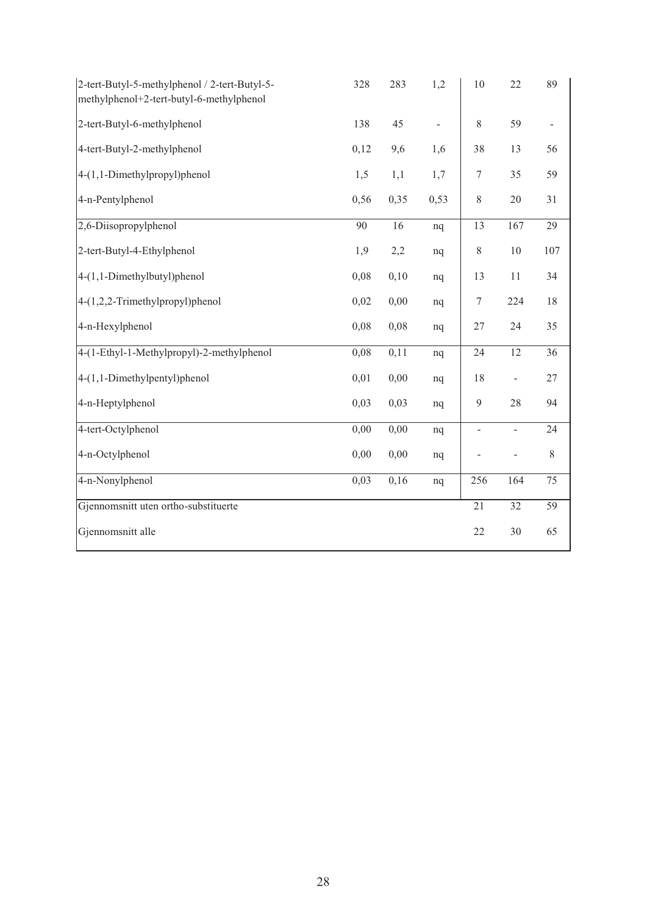| 2-tert-Butyl-5-methylphenol / 2-tert-Butyl-5-<br>methylphenol+2-tert-butyl-6-methylphenol | 328  | 283  | 1,2            | 10               | 22                       | 89             |
|-------------------------------------------------------------------------------------------|------|------|----------------|------------------|--------------------------|----------------|
| 2-tert-Butyl-6-methylphenol                                                               | 138  | 45   | $\blacksquare$ | $\,$ $\,$        | 59                       | $\blacksquare$ |
| 4-tert-Butyl-2-methylphenol                                                               | 0,12 | 9,6  | 1,6            | 38               | 13                       | 56             |
| $4-(1,1-Dimethylpropyl)$ phenol                                                           | 1,5  | 1,1  | 1,7            | $\boldsymbol{7}$ | 35                       | 59             |
| 4-n-Pentylphenol                                                                          | 0,56 | 0,35 | 0,53           | $8\,$            | $20\,$                   | 31             |
| $2,6$ -Diisopropylphenol                                                                  | 90   | 16   | nq             | 13               | 167                      | 29             |
| 2-tert-Butyl-4-Ethylphenol                                                                | 1,9  | 2,2  | nq             | $\,$ $\,$        | $10\,$                   | 107            |
| $4-(1,1-Dimethylbutyl)$ phenol                                                            | 0,08 | 0,10 | nq             | 13               | $11\,$                   | 34             |
| $4-(1,2,2$ -Trimethylpropyl)phenol                                                        | 0,02 | 0,00 | nq             | $\boldsymbol{7}$ | 224                      | 18             |
| 4-n-Hexylphenol                                                                           | 0,08 | 0,08 | nq             | 27               | 24                       | 35             |
| 4-(1-Ethyl-1-Methylpropyl)-2-methylphenol                                                 | 0,08 | 0,11 | nq             | 24               | 12                       | 36             |
| $4-(1,1-Dimethylpentyl)$ phenol                                                           | 0,01 | 0,00 | nq             | 18               | $\overline{\phantom{0}}$ | 27             |
| 4-n-Heptylphenol                                                                          | 0,03 | 0,03 | nq             | 9                | 28                       | 94             |
| 4-tert-Octylphenol                                                                        | 0,00 | 0,00 | nq             | $\blacksquare$   | $\overline{\phantom{0}}$ | 24             |
| 4-n-Octylphenol                                                                           | 0,00 | 0,00 | nq             |                  | $\overline{a}$           | $\,$ 8 $\,$    |
| 4-n-Nonylphenol                                                                           | 0,03 | 0,16 | nq             | 256              | 164                      | 75             |
| Gjennomsnitt uten ortho-substituerte                                                      |      |      |                | $\overline{21}$  | $\overline{32}$          | 59             |
| Gjennomsnitt alle                                                                         |      |      |                | 22               | 30                       | 65             |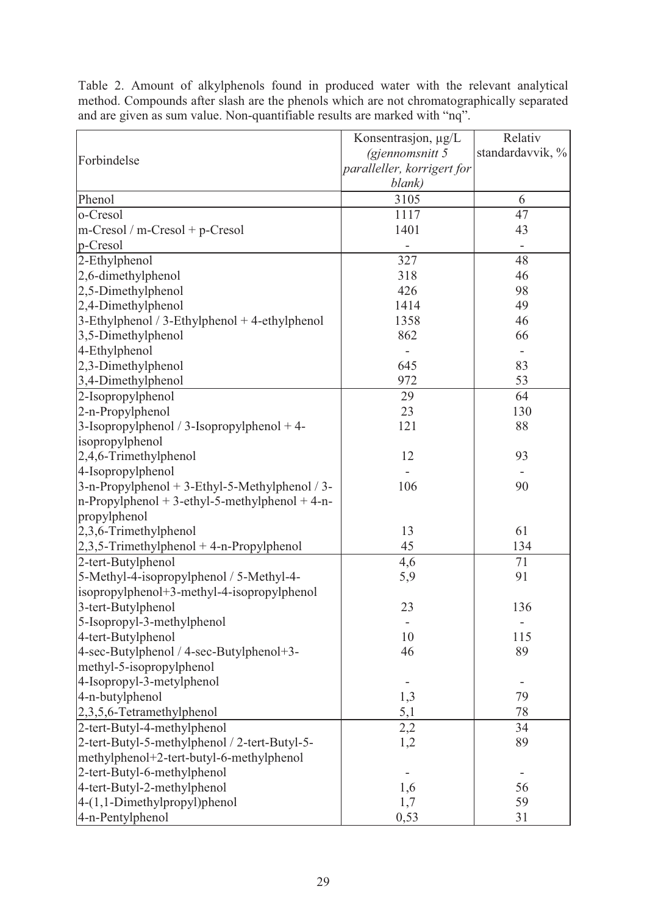|                                                   | Konsentrasjon, µg/L        | Relativ                  |
|---------------------------------------------------|----------------------------|--------------------------|
|                                                   | (gjennomsnitt 5            | standardavvik, %         |
| Forbindelse                                       | paralleller, korrigert for |                          |
|                                                   | blank)                     |                          |
| Phenol                                            | 3105                       | 6                        |
| o-Cresol                                          | 1117                       | 47                       |
| $m-Cresol/m-Cresol + p-Cresol$                    | 1401                       | 43                       |
| p-Cresol                                          |                            | $\overline{\phantom{m}}$ |
| 2-Ethylphenol                                     | 327                        | 48                       |
| 2,6-dimethylphenol                                | 318                        | 46                       |
| 2,5-Dimethylphenol                                | 426                        | 98                       |
| 2,4-Dimethylphenol                                | 1414                       | 49                       |
| $3$ -Ethylphenol / 3-Ethylphenol + 4-ethylphenol  | 1358                       | 46                       |
| 3,5-Dimethylphenol                                | 862                        | 66                       |
| 4-Ethylphenol                                     |                            |                          |
| 2,3-Dimethylphenol                                | 645                        | 83                       |
| 3,4-Dimethylphenol                                | 972                        | 53                       |
|                                                   |                            |                          |
| 2-Isopropylphenol                                 | 29                         | 64                       |
| 2-n-Propylphenol                                  | 23                         | 130                      |
| 3-Isopropylphenol / 3-Isopropylphenol $+4$ -      | 121                        | 88                       |
| isopropylphenol                                   |                            |                          |
| 2,4,6-Trimethylphenol                             | 12                         | 93                       |
| 4-Isopropylphenol                                 |                            |                          |
| $3-n$ -Propylphenol + 3-Ethyl-5-Methylphenol / 3- | 106                        | 90                       |
| $n$ -Propylphenol + 3-ethyl-5-methylphenol + 4-n- |                            |                          |
| propylphenol                                      |                            |                          |
| 2,3,6-Trimethylphenol                             | 13                         | 61                       |
| $2,3,5$ -Trimethylphenol + 4-n-Propylphenol       | 45                         | 134                      |
| 2-tert-Butylphenol                                | 4,6                        | 71                       |
| 5-Methyl-4-isopropylphenol / 5-Methyl-4-          | 5,9                        | 91                       |
| isopropylphenol+3-methyl-4-isopropylphenol        |                            |                          |
| 3-tert-Butylphenol                                | 23                         | 136                      |
| 5-Isopropyl-3-methylphenol                        |                            |                          |
| 4-tert-Butylphenol                                | 10                         | 115                      |
| 4-sec-Butylphenol / 4-sec-Butylphenol+3-          | 46                         | 89                       |
| methyl-5-isopropylphenol                          |                            |                          |
| 4-Isopropyl-3-metylphenol                         |                            |                          |
| 4-n-butylphenol                                   | 1,3                        | 79                       |
| 2,3,5,6-Tetramethylphenol                         | 5,1                        | 78                       |
| 2-tert-Butyl-4-methylphenol                       | 2,2                        | 34                       |
| 2-tert-Butyl-5-methylphenol / 2-tert-Butyl-5-     | 1,2                        | 89                       |
| methylphenol+2-tert-butyl-6-methylphenol          |                            |                          |
| 2-tert-Butyl-6-methylphenol                       |                            |                          |
| 4-tert-Butyl-2-methylphenol                       | 1,6                        | 56                       |
| 4-(1,1-Dimethylpropyl)phenol                      | 1,7                        | 59                       |
| 4-n-Pentylphenol                                  | 0,53                       | 31                       |

Table 2. Amount of alkylphenols found in produced water with the relevant analytical method. Compounds after slash are the phenols which are not chromatographically separated and are given as sum value. Non-quantifiable results are marked with "nq".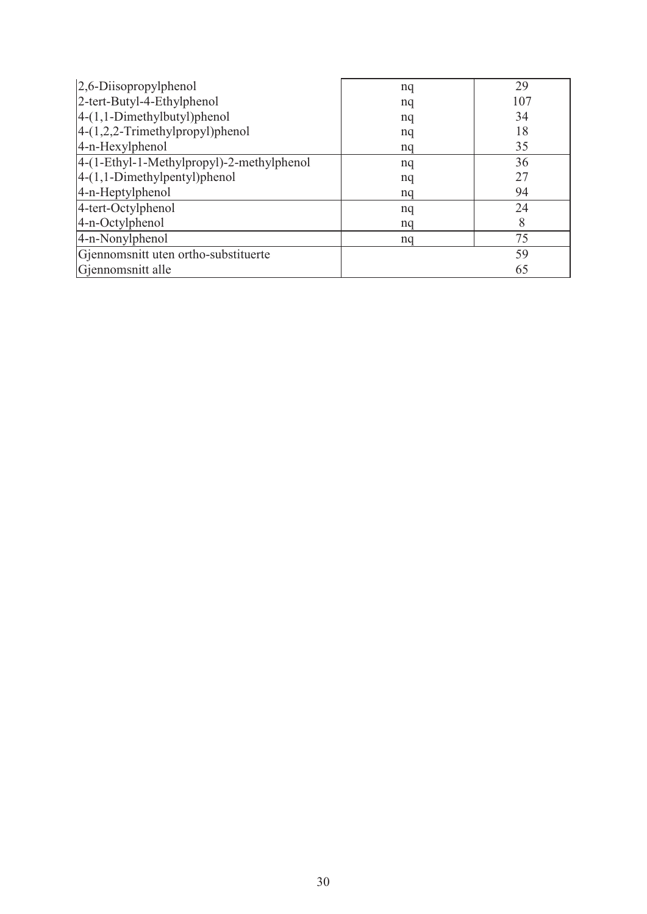| $ 2,6$ -Diisopropylphenol                 | nq | 29  |
|-------------------------------------------|----|-----|
| 2-tert-Butyl-4-Ethylphenol                | nq | 107 |
| $4-(1,1-Dimethylbutyl)$ phenol            | nq | 34  |
| $ 4-(1,2,2-Trimethylpropyl)$ phenol       | nq | 18  |
| 4-n-Hexylphenol                           | nq | 35  |
| 4-(1-Ethyl-1-Methylpropyl)-2-methylphenol | nq | 36  |
| $ 4-(1,1-Dimethylpentyl)$ phenol          | nq | 27  |
| 4-n-Heptylphenol                          | nq | 94  |
| 4-tert-Octylphenol                        | nq | 24  |
| 4-n-Octylphenol                           | nq | 8   |
| 4-n-Nonylphenol                           | nq | 75  |
| Gjennomsnitt uten ortho-substituerte      |    | 59  |
| Gjennomsnitt alle                         |    | 65  |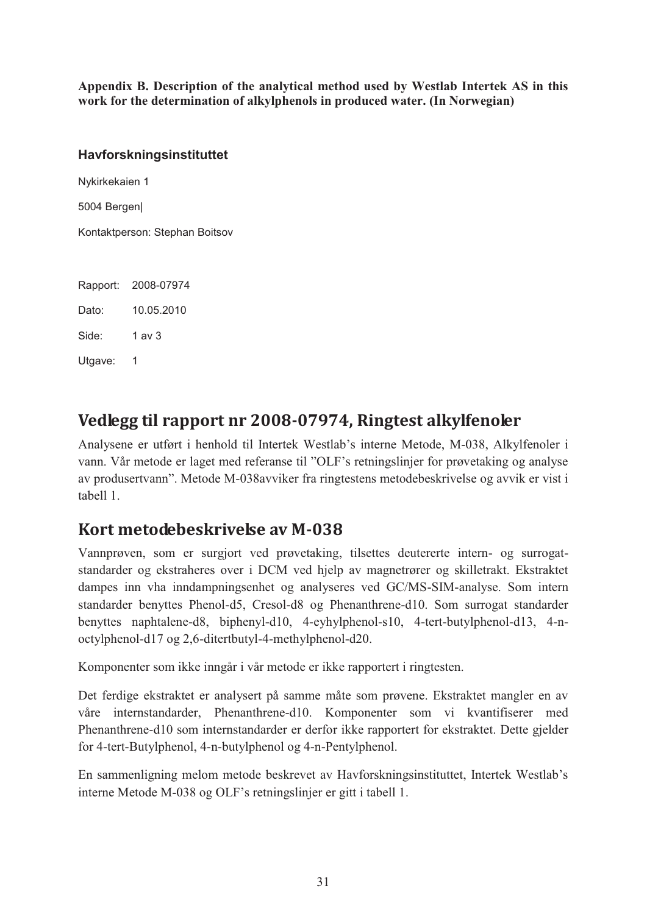**Appendix B. Description of the analytical method used by Westlab Intertek AS in this work for the determination of alkylphenols in produced water. (In Norwegian)** 

#### **Havforskningsinstituttet**

Nykirkekaien 1

5004 Bergen|

Kontaktperson: Stephan Boitsov

Rapport: 2008-07974 Dato: 10.05.2010 Side: 1 av 3 Utgave: 1

# **Vedlegg til rapport nr 2008-07974, Ringtest alkylfenoler**

Analysene er utført i henhold til Intertek Westlab's interne Metode, M-038, Alkylfenoler i vann. Vår metode er laget med referanse til "OLF's retningslinjer for prøvetaking og analyse av produsertvann". Metode M-038avviker fra ringtestens metodebeskrivelse og avvik er vist i tabell 1.

# **Kort metodebeskrivelse av M-038**

Vannprøven, som er surgjort ved prøvetaking, tilsettes deutererte intern- og surrogatstandarder og ekstraheres over i DCM ved hjelp av magnetrører og skilletrakt. Ekstraktet dampes inn vha inndampningsenhet og analyseres ved GC/MS-SIM-analyse. Som intern standarder benyttes Phenol-d5, Cresol-d8 og Phenanthrene-d10. Som surrogat standarder benyttes naphtalene-d8, biphenyl-d10, 4-eyhylphenol-s10, 4-tert-butylphenol-d13, 4-noctylphenol-d17 og 2,6-ditertbutyl-4-methylphenol-d20.

Komponenter som ikke inngår i vår metode er ikke rapportert i ringtesten.

Det ferdige ekstraktet er analysert på samme måte som prøvene. Ekstraktet mangler en av våre internstandarder, Phenanthrene-d10. Komponenter som vi kvantifiserer med Phenanthrene-d10 som internstandarder er derfor ikke rapportert for ekstraktet. Dette gjelder for 4-tert-Butylphenol, 4-n-butylphenol og 4-n-Pentylphenol.

En sammenligning melom metode beskrevet av Havforskningsinstituttet, Intertek Westlab's interne Metode M-038 og OLF's retningslinjer er gitt i tabell 1.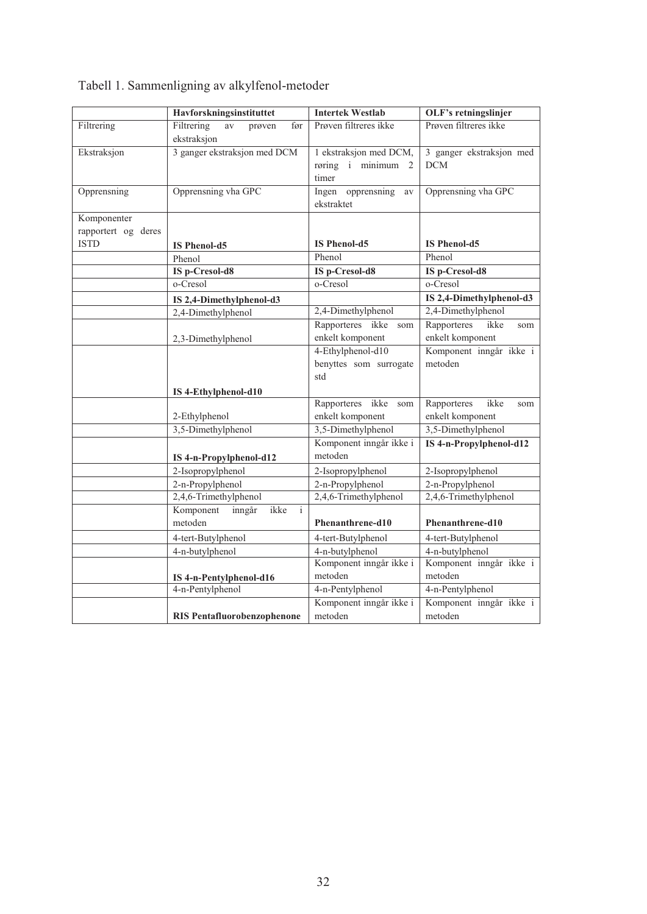|                     | Havforskningsinstituttet                               | <b>Intertek Westlab</b>                               | OLF's retningslinjer                   |
|---------------------|--------------------------------------------------------|-------------------------------------------------------|----------------------------------------|
| Filtrering          | Filtrering<br>$\rm av$<br>før<br>prøven<br>ekstraksjon | Prøven filtreres ikke                                 | Prøven filtreres ikke                  |
| Ekstraksjon         | 3 ganger ekstraksjon med DCM                           | 1 ekstraksjon med DCM,<br>røring i minimum 2<br>timer | 3 ganger ekstraksjon med<br><b>DCM</b> |
| Opprensning         | Opprensning vha GPC                                    | Ingen opprensning<br>av<br>ekstraktet                 | Opprensning vha GPC                    |
| Komponenter         |                                                        |                                                       |                                        |
| rapportert og deres |                                                        |                                                       |                                        |
| <b>ISTD</b>         | <b>IS Phenol-d5</b>                                    | <b>IS Phenol-d5</b>                                   | <b>IS Phenol-d5</b>                    |
|                     | Phenol                                                 | Phenol                                                | Phenol                                 |
|                     | IS p-Cresol-d8                                         | IS p-Cresol-d8                                        | IS p-Cresol-d8                         |
|                     | o-Cresol                                               | o-Cresol                                              | o-Cresol                               |
|                     | IS 2,4-Dimethylphenol-d3                               |                                                       | IS 2,4-Dimethylphenol-d3               |
|                     | 2,4-Dimethylphenol                                     | 2,4-Dimethylphenol                                    | 2,4-Dimethylphenol                     |
|                     |                                                        | Rapporteres ikke<br>som                               | Rapporteres<br>ikke<br>som             |
|                     | 2,3-Dimethylphenol                                     | enkelt komponent                                      | enkelt komponent                       |
|                     |                                                        | 4-Ethylphenol-d10                                     | Komponent inngår ikke i                |
|                     |                                                        | benyttes som surrogate                                | metoden                                |
|                     |                                                        | std                                                   |                                        |
|                     | IS 4-Ethylphenol-d10                                   |                                                       |                                        |
|                     |                                                        | Rapporteres ikke<br>som                               | ikke<br>Rapporteres<br>som             |
|                     | 2-Ethylphenol                                          | enkelt komponent                                      | enkelt komponent                       |
|                     | 3,5-Dimethylphenol                                     | 3,5-Dimethylphenol                                    | 3,5-Dimethylphenol                     |
|                     | IS 4-n-Propylphenol-d12                                | Komponent inngår ikke i<br>metoden                    | IS 4-n-Propylphenol-d12                |
|                     | 2-Isopropylphenol                                      | 2-Isopropylphenol                                     | 2-Isopropylphenol                      |
|                     | 2-n-Propylphenol                                       | 2-n-Propylphenol                                      | 2-n-Propylphenol                       |
|                     | 2,4,6-Trimethylphenol                                  | 2,4,6-Trimethylphenol                                 | 2,4,6-Trimethylphenol                  |
|                     | Komponent<br>ikke<br>inngår<br>$\mathbf{i}$<br>metoden | Phenanthrene-d10                                      | Phenanthrene-d10                       |
|                     | 4-tert-Butylphenol                                     | 4-tert-Butylphenol                                    | 4-tert-Butylphenol                     |
|                     | 4-n-butylphenol                                        | 4-n-butylphenol                                       | 4-n-butylphenol                        |
|                     |                                                        | Komponent inngår ikke i                               | Komponent inngår ikke i                |
|                     | IS 4-n-Pentylphenol-d16                                | metoden                                               | metoden                                |
|                     | 4-n-Pentylphenol                                       | 4-n-Pentylphenol                                      | 4-n-Pentylphenol                       |
|                     |                                                        | Komponent inngår ikke i                               | Komponent inngår ikke i                |
|                     | <b>RIS Pentafluorobenzophenone</b>                     | metoden                                               | metoden                                |

# Tabell 1. Sammenligning av alkylfenol-metoder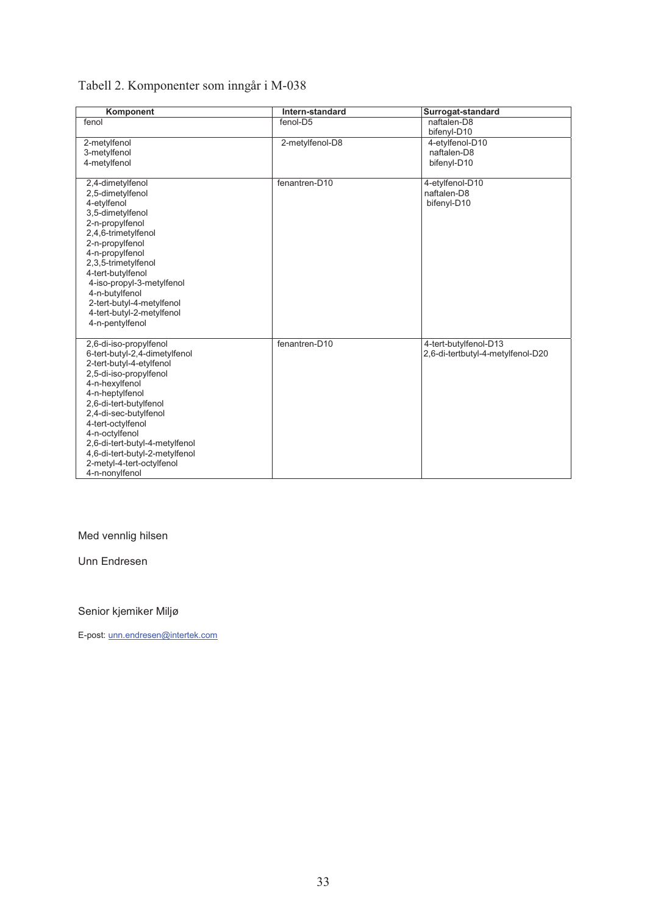# Tabell 2. Komponenter som inngår i M-038

| Komponent                                                                                                                                                                                                                                                                                                                                                       | Intern-standard | Surrogat-standard                                          |
|-----------------------------------------------------------------------------------------------------------------------------------------------------------------------------------------------------------------------------------------------------------------------------------------------------------------------------------------------------------------|-----------------|------------------------------------------------------------|
| fenol                                                                                                                                                                                                                                                                                                                                                           | fenol-D5        | naftalen-D8<br>bifenyl-D10                                 |
| 2-metylfenol<br>3-metylfenol<br>4-metylfenol                                                                                                                                                                                                                                                                                                                    | 2-metylfenol-D8 | 4-etylfenol-D10<br>naftalen-D8<br>bifenyl-D10              |
| 2,4-dimetylfenol<br>2,5-dimetylfenol<br>4-etylfenol<br>3,5-dimetylfenol<br>2-n-propylfenol<br>2,4,6-trimetylfenol<br>2-n-propylfenol<br>4-n-propylfenol<br>2,3,5-trimetylfenol<br>4-tert-butylfenol<br>4-iso-propyl-3-metylfenol<br>4-n-butylfenol<br>2-tert-butyl-4-metylfenol<br>4-tert-butyl-2-metylfenol<br>4-n-pentylfenol                                 | fenantren-D10   | 4-etylfenol-D10<br>naftalen-D8<br>bifenyl-D10              |
| 2,6-di-iso-propylfenol<br>6-tert-butyl-2,4-dimetylfenol<br>2-tert-butyl-4-etylfenol<br>2,5-di-iso-propylfenol<br>4-n-hexylfenol<br>4-n-heptylfenol<br>2,6-di-tert-butylfenol<br>2,4-di-sec-butylfenol<br>4-tert-octylfenol<br>4-n-octylfenol<br>2,6-di-tert-butyl-4-metylfenol<br>4,6-di-tert-butyl-2-metylfenol<br>2-metyl-4-tert-octylfenol<br>4-n-nonylfenol | fenantren-D10   | 4-tert-butylfenol-D13<br>2,6-di-tertbutyl-4-metylfenol-D20 |

### Med vennlig hilsen

Unn Endresen

#### Senior kjemiker Miljø

E-post: unn.endresen@intertek.com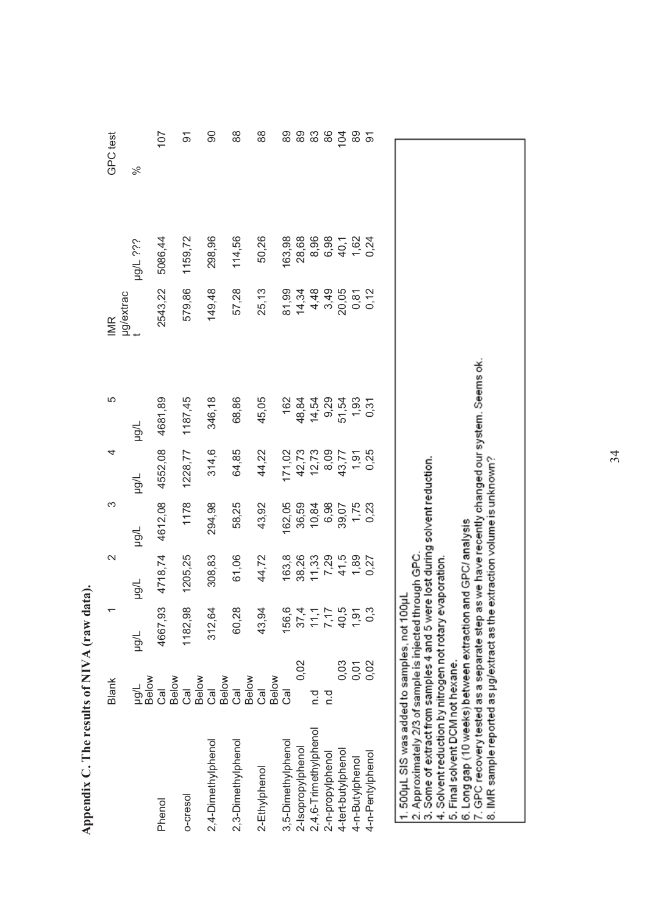|                                                                                                                                                                                                                                                                                                                                                                                                                                                                                          | Blank                            | ᡪ                                                | 2            | ო       | 4              | 5                                                 | <b>IMR</b>   |              | GPC test |
|------------------------------------------------------------------------------------------------------------------------------------------------------------------------------------------------------------------------------------------------------------------------------------------------------------------------------------------------------------------------------------------------------------------------------------------------------------------------------------------|----------------------------------|--------------------------------------------------|--------------|---------|----------------|---------------------------------------------------|--------------|--------------|----------|
|                                                                                                                                                                                                                                                                                                                                                                                                                                                                                          | ug/L<br>Below                    | Tran                                             | Tran         | Thön    | Trön           | Tron                                              | µg/extrac    | ijs 7/6H     | ಸಿ       |
| Phenol                                                                                                                                                                                                                                                                                                                                                                                                                                                                                   | ತ                                | 4667,93                                          | 4718,74      | 4612,08 | 4552,08        | 4681,89                                           | 2543,22      | 5086,44      | 107      |
| 0-cresol                                                                                                                                                                                                                                                                                                                                                                                                                                                                                 | Below<br>Cal                     | 1182,98                                          | 1205,25      | 1178    | 1228,77        | 1187,45                                           | 579,86       | 1159,72      | ଚ        |
| 2,4-Dimethylphenol                                                                                                                                                                                                                                                                                                                                                                                                                                                                       | Below<br>ල<br>ප                  | 312,64                                           | 308,83       | 294,98  | 314,6          | 346,18                                            | 149,48       | 298,96       | 80       |
| 2,3-Dimethylphenol                                                                                                                                                                                                                                                                                                                                                                                                                                                                       | Below<br>ු                       | 60,28                                            | 61,06        | 58,25   | 64,85          | 68,86                                             | 57,28        | 114,56       | 88       |
| 2-Ethylphenol                                                                                                                                                                                                                                                                                                                                                                                                                                                                            | Below<br>Below<br>$\overline{c}$ | 43,94                                            | 44,72        | 43,92   | 44,22          | 45,05                                             | 25,13        | 50,26        | 88       |
| 3,5-Dimethylphenol                                                                                                                                                                                                                                                                                                                                                                                                                                                                       | ලි                               | Q<br>156,                                        | 163,8        | 162,05  | 171,02         | 162                                               | 81,99        | 163,98       | 89       |
| 2-Isopropylphenol                                                                                                                                                                                                                                                                                                                                                                                                                                                                        | 0,02                             |                                                  | 38,26        | 36,59   | 42,73          | 48,84                                             | 14,34        | 28,68        | 89       |
| 2,4,6-Trimethylphenol                                                                                                                                                                                                                                                                                                                                                                                                                                                                    | p.q                              | $37 + 70$<br>$77 - 90$<br>$77 - 90$<br>$79 - 90$ | 11,33        | 10,84   | 12,73          | 14,54                                             |              |              | 83       |
| 2-n-propylphenol                                                                                                                                                                                                                                                                                                                                                                                                                                                                         | n.d                              |                                                  | 7,29         | 6,98    |                | 9,29                                              | 4.49<br>4.99 | 8,96<br>6,98 | 86       |
| 4-tert-butylphenol                                                                                                                                                                                                                                                                                                                                                                                                                                                                       | 0,03                             |                                                  | 41,5         | 39,07   | 8,09<br>43,77  | 51,54                                             | 20,05        | 40,1         | 104      |
| 4-n-Butylphenol                                                                                                                                                                                                                                                                                                                                                                                                                                                                          | 0,02                             |                                                  | 1,89         | 1,75    | $1,91$<br>0,25 | 1,93                                              | 0,81         | 1,62         | 895      |
| 4-n-Pentylphenol                                                                                                                                                                                                                                                                                                                                                                                                                                                                         |                                  | က<br>$\circ$                                     | 0,27         | 0,23    |                | 0,31                                              | 0,12         | 0,24         |          |
| 3. Some of extract from samples 4 and 5 were lost during solvent reduction.<br>8. IMR sample reported as $\mu$ g/extract as the extraction volume is unknown?<br>6. Long gap (10 weeks) between extraction and GPC/ analysis<br>7. GPC recovery tested as a separate step as we have recently<br>2. Approximately 2/3 of sample is injected through GPC.<br>1.500µLSIS was added to samples, not 100µ<br>4. Solvent reduction by nitrogen not rotary<br>5. Final solvent DCM not hexane. |                                  |                                                  | evaporation. |         |                | as we have recently changed our system. Seems ok. |              |              |          |

Appendix C. The results of NIVA (raw data). **Appendix C. The results of NIVA (raw data).** 

34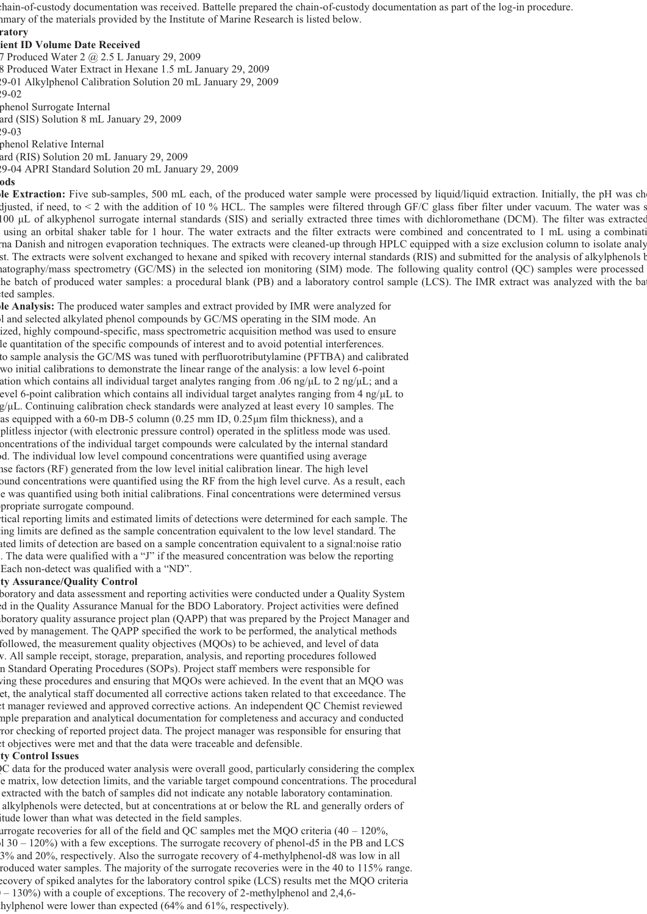p chain-of-custody documentation was received. Battelle prepared the chain-of-custody documentation as part of the log-in procedure. mmary of the materials provided by the Institute of Marine Research is listed below.

#### **ratory**

**lient ID Volume Date Received** 

7 Produced Water 2 @ 2.5 L January 29, 2009 8 Produced Water Extract in Hexane 1.5 mL January 29, 2009 29-01 Alkylphenol Calibration Solution 20 mL January 29, 2009 29-02

phenol Surrogate Internal ard (SIS) Solution 8 mL January 29, 2009

29-03 phenol Relative Internal

ard (RIS) Solution 20 mL January 29, 2009

29-04 APRI Standard Solution 20 mL January 29, 2009

#### **ods**

**ple Extraction:** Five sub-samples, 500 mL each, of the produced water sample were processed by liquid/liquid extraction. Initially, the pH was che djusted, if need, to < 2 with the addition of 10 % HCL. The samples were filtered through GF/C glass fiber filter under vacuum. The water was s 100 μL of alkyphenol surrogate internal standards (SIS) and serially extracted three times with dichloromethane (DCM). The filter was extracted using an orbital shaker table for 1 hour. The water extracts and the filter extracts were combined and concentrated to 1 mL using a combinati rna Danish and nitrogen evaporation techniques. The extracts were cleaned-up through HPLC equipped with a size exclusion column to isolate analy st. The extracts were solvent exchanged to hexane and spiked with recovery internal standards (RIS) and submitted for the analysis of alkylphenols b matography/mass spectrometry (GC/MS) in the selected ion monitoring (SIM) mode. The following quality control (QC) samples were processed the batch of produced water samples: a procedural blank (PB) and a laboratory control sample (LCS). The IMR extract was analyzed with the bat ted samples.

**ple Analysis:** The produced water samples and extract provided by IMR were analyzed for ol and selected alkylated phenol compounds by GC/MS operating in the SIM mode. An ized, highly compound-specific, mass spectrometric acquisition method was used to ensure le quantitation of the specific compounds of interest and to avoid potential interferences. to sample analysis the GC/MS was tuned with perfluorotributylamine (PFTBA) and calibrated wo initial calibrations to demonstrate the linear range of the analysis: a low level 6-point ation which contains all individual target analytes ranging from .06 ng/ $\mu$ L to 2 ng/ $\mu$ L; and a evel 6-point calibration which contains all individual target analytes ranging from 4 ng/μL to g/μL. Continuing calibration check standards were analyzed at least every 10 samples. The as equipped with a 60-m DB-5 column  $(0.25 \text{ mm ID}, 0.25 \text{ \mu m film thickness})$ , and a splitless injector (with electronic pressure control) operated in the splitless mode was used. oncentrations of the individual target compounds were calculated by the internal standard od. The individual low level compound concentrations were quantified using average nse factors (RF) generated from the low level initial calibration linear. The high level ound concentrations were quantified using the RF from the high level curve. As a result, each le was quantified using both initial calibrations. Final concentrations were determined versus ppropriate surrogate compound.

tical reporting limits and estimated limits of detections were determined for each sample. The ting limits are defined as the sample concentration equivalent to the low level standard. The ated limits of detection are based on a sample concentration equivalent to a signal:noise ratio . The data were qualified with a "J" if the measured concentration was below the reporting Each non-detect was qualified with a "ND".

#### **ity Assurance/Quality Control**

boratory and data assessment and reporting activities were conducted under a Quality System ed in the Quality Assurance Manual for the BDO Laboratory. Project activities were defined aboratory quality assurance project plan (QAPP) that was prepared by the Project Manager and wed by management. The QAPP specified the work to be performed, the analytical methods followed, the measurement quality objectives (MQOs) to be achieved, and level of data w. All sample receipt, storage, preparation, analysis, and reporting procedures followed n Standard Operating Procedures (SOPs). Project staff members were responsible for wing these procedures and ensuring that MQOs were achieved. In the event that an MQO was et, the analytical staff documented all corrective actions taken related to that exceedance. The ct manager reviewed and approved corrective actions. An independent QC Chemist reviewed mple preparation and analytical documentation for completeness and accuracy and conducted ror checking of reported project data. The project manager was responsible for ensuring that ct objectives were met and that the data were traceable and defensible.

#### **ity Control Issues**

QC data for the produced water analysis were overall good, particularly considering the complex le matrix, low detection limits, and the variable target compound concentrations. The procedural extracted with the batch of samples did not indicate any notable laboratory contamination. alkylphenols were detected, but at concentrations at or below the RL and generally orders of itude lower than what was detected in the field samples.

urrogate recoveries for all of the field and QC samples met the MQO criteria  $(40 - 120\%$ ,  $\sim$  120%) with a few exceptions. The surrogate recovery of phenol-d5 in the PB and LCS 3% and 20%, respectively. Also the surrogate recovery of 4-methylphenol-d8 was low in all roduced water samples. The majority of the surrogate recoveries were in the 40 to 115% range. ecovery of spiked analytes for the laboratory control spike (LCS) results met the MQO criteria  $-130\%$ ) with a couple of exceptions. The recovery of 2-methylphenol and 2,4,6hylphenol were lower than expected (64% and 61%, respectively).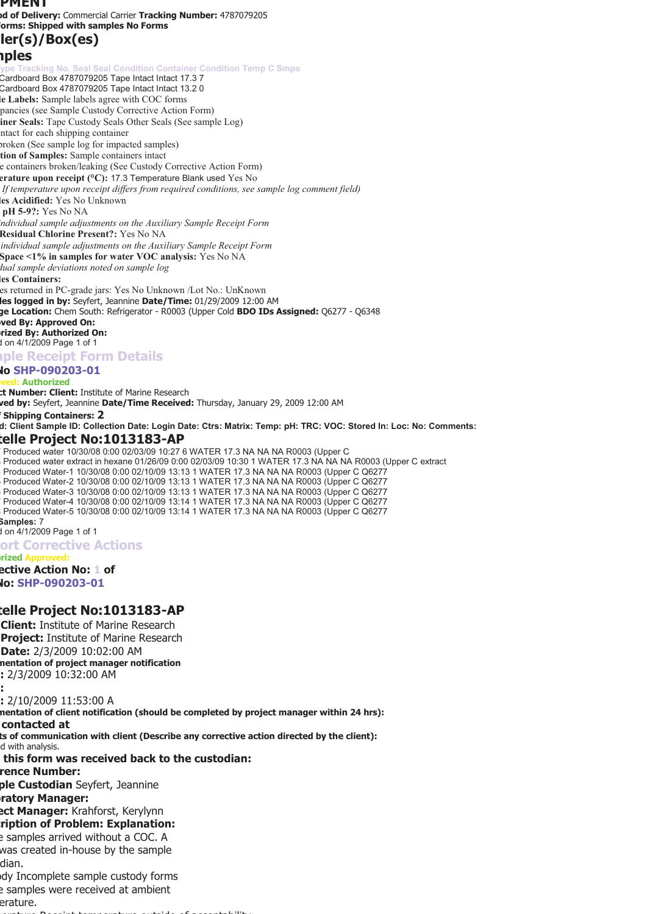#### **PMENT**

**od of Delivery:** Commercial Carrier **Tracking Number:** 4787079205 **Forms: Shipped with samples No Forms** 

# **oler(s)/Box(es)**

#### **mples**

**The Tracking No. Seal Seal Condition Container Condition Temp C Smps** Cardboard Box 4787079205 Tape Intact Intact 17.3 7 Cardboard Box 4787079205 Tape Intact Intact 13.2 0 **le Labels:** Sample labels agree with COC forms pancies (see Sample Custody Corrective Action Form) **ainer Seals:** Tape Custody Seals Other Seals (See sample Log) ntact for each shipping container broken (See sample log for impacted samples) **ition of Samples:** Sample containers intact e containers broken/leaking (See Custody Corrective Action Form) **erature upon receipt (°C):** 17.3 Temperature Blank used Yes No *If temperature upon receipt differs from required conditions, see sample log comment field)*  **les Acidified:** Yes No Unknown **l pH 5-9?:** Yes No NA *individual sample adjustments on the Auxiliary Sample Receipt Form*  **Residual Chlorine Present?:** Yes No NA *individual sample adjustments on the Auxiliary Sample Receipt Form*  **Space <1% in samples for water VOC analysis:** Yes No NA *dual sample deviations noted on sample log*  **les Containers:**  es returned in PC-grade jars: Yes No Unknown /Lot No.: UnKnown **les logged in by:** Seyfert, Jeannine **Date/Time:** 01/29/2009 12:00 AM **ge Location:** Chem South: Refrigerator - R0003 (Upper Cold **BDO IDs Assigned:** Q6277 - Q6348 **oved By: Approved On: orized By: Authorized On:**  d on 4/1/2009 Page 1 of 1 **mple Receipt Form Details No SHP-090203-01 oved: Authorized ct Number: Client:** Institute of Marine Research **ved by:** Seyfert, Jeannine **Date/Time Received:** Thursday, January 29, 2009 12:00 AM **f Shipping Containers: 2 d: Client Sample ID: Collection Date: Login Date: Ctrs: Matrix: Temp: pH: TRC: VOC: Stored In: Loc: No: Comments: telle Project No:1013183-AP**  7 Produced water 10/30/08 0:00 02/03/09 10:27 6 WATER 17.3 NA NA NA R0003 (Upper C 8 Produced water extract in hexane 01/26/09 0:00 02/03/09 10:30 1 WATER 17.3 NA NA NA R0003 (Upper C extract 4 Produced Water-1 10/30/08 0:00 02/10/09 13:13 1 WATER 17.3 NA NA NA R0003 (Upper C Q6277 5 Produced Water-2 10/30/08 0:00 02/10/09 13:13 1 WATER 17.3 NA NA NA R0003 (Upper C Q6277 6 Produced Water-3 10/30/08 0:00 02/10/09 13:13 1 WATER 17.3 NA NA NA R0003 (Upper C Q6277 7 Produced Water-4 10/30/08 0:00 02/10/09 13:14 1 WATER 17.3 NA NA NA R0003 (Upper C Q6277 8 Produced Water-5 10/30/08 0:00 02/10/09 13:14 1 WATER 17.3 NA NA NA R0003 (Upper C Q6277 **Samples:** 7 d on 4/1/2009 Page 1 of 1 **ort Corrective Actions orized Approved: ective Action No: 1 of No: SHP-090203-01** 

#### **telle Project No:1013183-AP**

**Client:** Institute of Marine Research **Project:** Institute of Marine Research **Date:** 2/3/2009 10:02:00 AM **mentation of project manager notification e:** 2/3/2009 10:32:00 AM **e: e:** 2/10/2009 11:53:00 A **mentation of client notification (should be completed by project manager within 24 hrs): contacted at ts of communication with client (Describe any corrective action directed by the client):**  d with analysis.

**e this form was received back to the custodian:** 

**rence Number:** 

**ple Custodian** Seyfert, Jeannine

**oratory Manager:** 

**ect Manager:** Krahforst, Kerylynn

**cription of Problem: Explanation:** 

e samples arrived without a COC. A was created in-house by the sample dian.

ody Incomplete sample custody forms e samples were received at ambient erature.

perature Receipt temperature outside of acceptability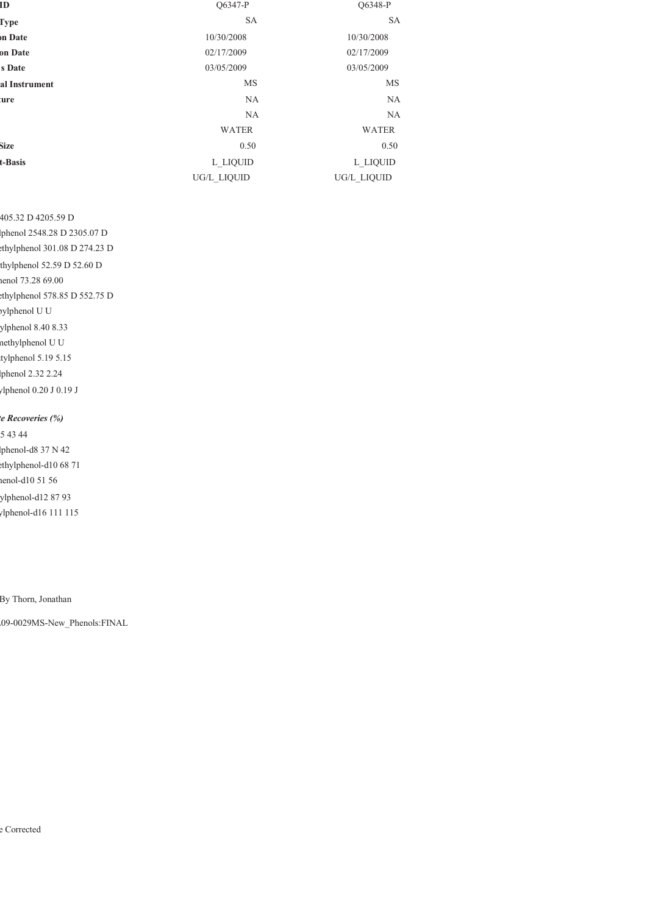| ID            | O6347-P      | O6348-P      |
|---------------|--------------|--------------|
| <b>Type</b>   | <b>SA</b>    | <b>SA</b>    |
| on Date       | 10/30/2008   | 10/30/2008   |
| on Date       | 02/17/2009   | 02/17/2009   |
| s Date        | 03/05/2009   | 03/05/2009   |
| al Instrument | MS           | MS           |
| ture          | <b>NA</b>    | <b>NA</b>    |
|               | <b>NA</b>    | <b>NA</b>    |
|               | <b>WATER</b> | <b>WATER</b> |
| <b>Size</b>   | 0.50         | 0.50         |
| t-Basis       | L LIQUID     | L LIQUID     |
|               | UG/L LIQUID  | UG/L LIQUID  |
|               |              |              |

405.32 D 4205.59 D lphenol 2548.28 D 2305.07 D ethylphenol 301.08 D 274.23 D thylphenol 52.59 D 52.60 D henol 73.28 69.00 ethylphenol 578.85 D 552.75 D pylphenol U U ylphenol 8.40 8.33 methylphenol U U tylphenol 5.19 5.15 lphenol 2.32 2.24 ylphenol 0.20 J 0.19 J

*te Recoveries (%)* 5 43 44 lphenol-d8 37 N 42 ethylphenol-d10 68 71 henol-d10 51 56 ylphenol-d12 87 93 ylphenol-d16 111 115

By Thorn, Jonathan

L09-0029MS-New\_Phenols:FINAL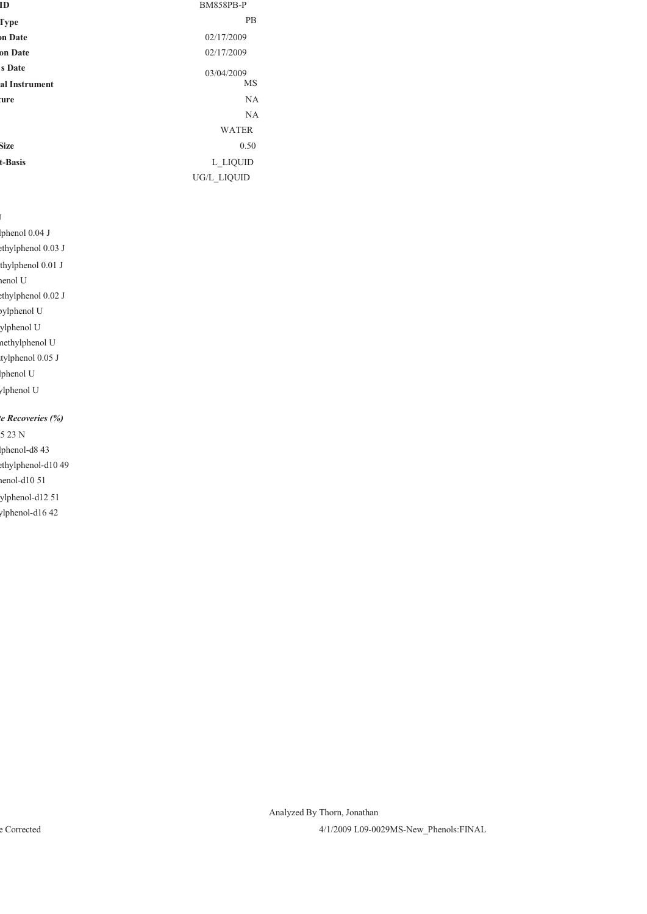| ID             | <b>BM858PB-P</b> |
|----------------|------------------|
| Type           | <b>PB</b>        |
| <b>on Date</b> | 02/17/2009       |
| on Date        | 02/17/2009       |
| s Date         | 03/04/2009       |
| al Instrument  | MS               |
| ture           | <b>NA</b>        |
|                | <b>NA</b>        |
|                | <b>WATER</b>     |
| Size           | 0.50             |
| t-Basis        | L LIQUID         |
|                | UG/L LIQUID      |

lphenol 0.04 J

ethylphenol 0.03 J

thylphenol 0.01 J

henol U

ethylphenol 0.02 J

pylphenol U

ylphenol U

methylphenol U

tylphenol 0.05 J

lphenol U

ylphenol U

#### *te Recoveries (%)*

 $523 N$ lphenol-d8 43

ethylphenol-d10 49

henol-d10 51

ylphenol-d12 51

ylphenol-d16 42

Analyzed By Thorn, Jonathan

e Corrected 4/1/2009 L09-0029MS-New\_Phenols:FINAL